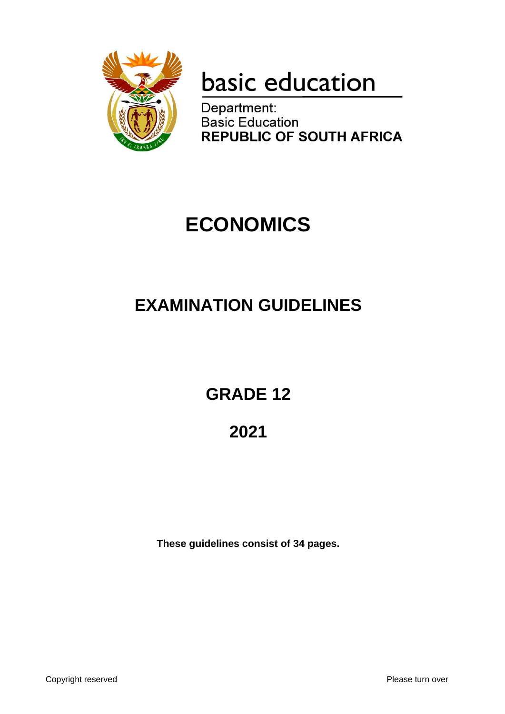

# basic education

Department: **Basic Education REPUBLIC OF SOUTH AFRICA** 

## **ECONOMICS**

## **EXAMINATION GUIDELINES**

**GRADE 12**

**2021**

**These guidelines consist of 34 pages.**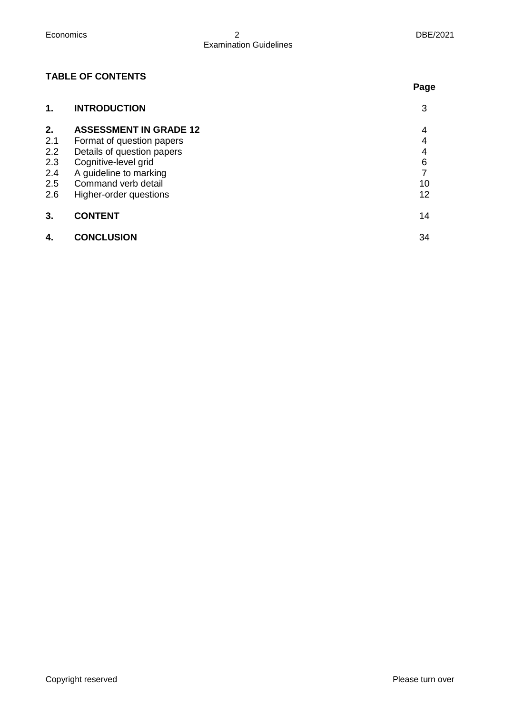**Page**

## **TABLE OF CONTENTS**

| 1.  | <b>INTRODUCTION</b>           | 3  |
|-----|-------------------------------|----|
| 2.  | <b>ASSESSMENT IN GRADE 12</b> | 4  |
| 2.1 | Format of question papers     | 4  |
| 2.2 | Details of question papers    | 4  |
| 2.3 | Cognitive-level grid          | 6  |
| 2.4 | A guideline to marking        |    |
| 2.5 | Command verb detail           | 10 |
| 2.6 | Higher-order questions        | 12 |
| 3.  | <b>CONTENT</b>                | 14 |
| 4.  | <b>CONCLUSION</b>             | 34 |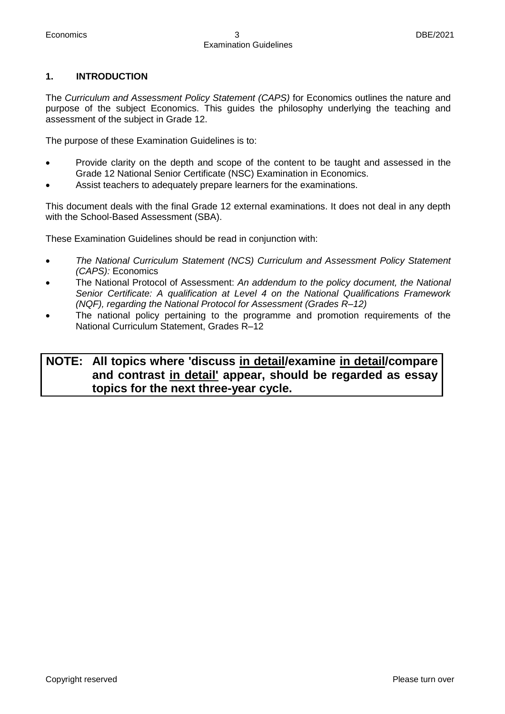#### **1. INTRODUCTION**

The *Curriculum and Assessment Policy Statement (CAPS)* for Economics outlines the nature and purpose of the subject Economics. This guides the philosophy underlying the teaching and assessment of the subject in Grade 12.

The purpose of these Examination Guidelines is to:

- Provide clarity on the depth and scope of the content to be taught and assessed in the Grade 12 National Senior Certificate (NSC) Examination in Economics.
- Assist teachers to adequately prepare learners for the examinations.

This document deals with the final Grade 12 external examinations. It does not deal in any depth with the School-Based Assessment (SBA).

These Examination Guidelines should be read in conjunction with:

- *The National Curriculum Statement (NCS) Curriculum and Assessment Policy Statement (CAPS):* Economics
- The National Protocol of Assessment: *An addendum to the policy document, the National Senior Certificate: A qualification at Level 4 on the National Qualifications Framework (NQF), regarding the National Protocol for Assessment (Grades R–12)*
- The national policy pertaining to the programme and promotion requirements of the National Curriculum Statement, Grades R–12

## **NOTE: All topics where 'discuss in detail/examine in detail/compare and contrast in detail' appear, should be regarded as essay topics for the next three-year cycle.**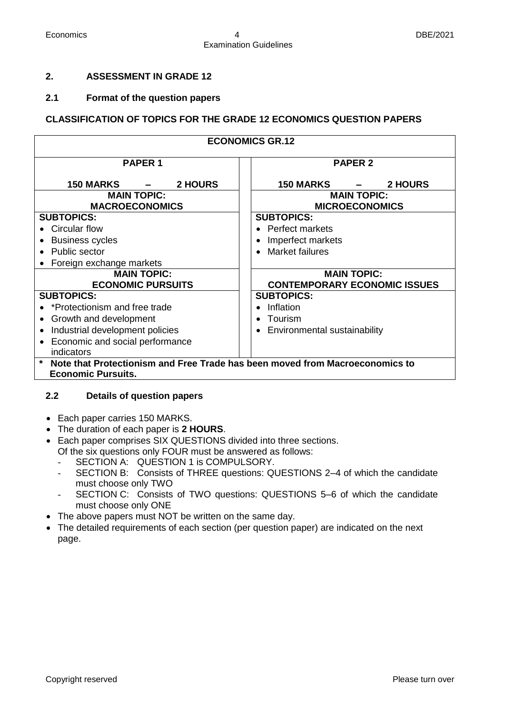#### **2. ASSESSMENT IN GRADE 12**

#### **2.1 Format of the question papers**

#### **CLASSIFICATION OF TOPICS FOR THE GRADE 12 ECONOMICS QUESTION PAPERS**

| <b>ECONOMICS GR.12</b>                                                       |                                             |  |  |  |
|------------------------------------------------------------------------------|---------------------------------------------|--|--|--|
| <b>PAPER 1</b>                                                               | <b>PAPER 2</b>                              |  |  |  |
| <b>150 MARKS</b><br>2 HOURS<br>$\qquad \qquad =$                             | <b>150 MARKS</b><br>2 HOURS                 |  |  |  |
| <b>MAIN TOPIC:</b><br><b>MACROECONOMICS</b>                                  | <b>MAIN TOPIC:</b><br><b>MICROECONOMICS</b> |  |  |  |
| <b>SUBTOPICS:</b>                                                            | <b>SUBTOPICS:</b>                           |  |  |  |
| Circular flow                                                                | <b>Perfect markets</b>                      |  |  |  |
| <b>Business cycles</b>                                                       | Imperfect markets<br>$\bullet$              |  |  |  |
| • Public sector                                                              | Market failures<br>$\bullet$                |  |  |  |
| Foreign exchange markets                                                     |                                             |  |  |  |
| <b>MAIN TOPIC:</b>                                                           | <b>MAIN TOPIC:</b>                          |  |  |  |
| <b>ECONOMIC PURSUITS</b>                                                     | <b>CONTEMPORARY ECONOMIC ISSUES</b>         |  |  |  |
| <b>SUBTOPICS:</b>                                                            | <b>SUBTOPICS:</b>                           |  |  |  |
| *Protectionism and free trade                                                | Inflation                                   |  |  |  |
| Growth and development                                                       | Tourism<br>$\bullet$                        |  |  |  |
| Industrial development policies                                              | Environmental sustainability<br>$\bullet$   |  |  |  |
| Economic and social performance                                              |                                             |  |  |  |
| indicators                                                                   |                                             |  |  |  |
| Note that Protectionism and Free Trade has been moved from Macroeconomics to |                                             |  |  |  |
| <b>Economic Pursuits.</b>                                                    |                                             |  |  |  |

#### **2.2 Details of question papers**

- Each paper carries 150 MARKS.
- The duration of each paper is **2 HOURS**.
- Each paper comprises SIX QUESTIONS divided into three sections. Of the six questions only FOUR must be answered as follows:
	- SECTION A: QUESTION 1 is COMPULSORY.
	- SECTION B: Consists of THREE questions: QUESTIONS 2-4 of which the candidate must choose only TWO
	- SECTION C: Consists of TWO questions: QUESTIONS 5-6 of which the candidate must choose only ONE
- The above papers must NOT be written on the same day.
- The detailed requirements of each section (per question paper) are indicated on the next page.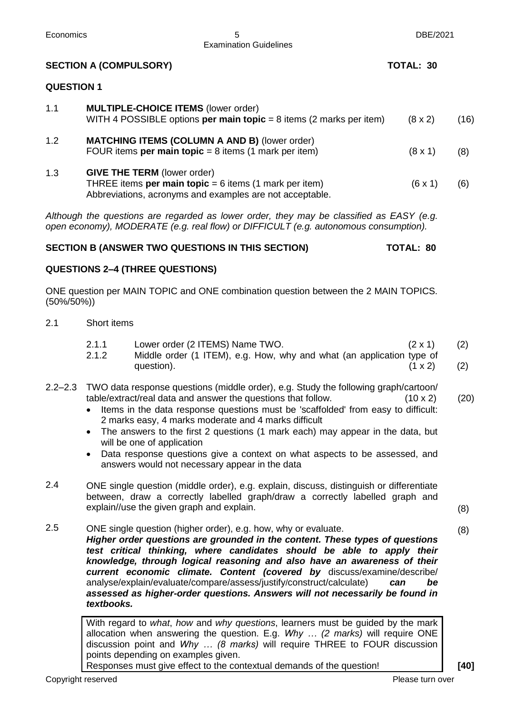| Economics          |                               | 5<br><b>Examination Guidelines</b>                                                                                                                                                                                                                                                                                                                                                                                                                                                                                                                        | DBE/2021                         |            |
|--------------------|-------------------------------|-----------------------------------------------------------------------------------------------------------------------------------------------------------------------------------------------------------------------------------------------------------------------------------------------------------------------------------------------------------------------------------------------------------------------------------------------------------------------------------------------------------------------------------------------------------|----------------------------------|------------|
|                    | <b>SECTION A (COMPULSORY)</b> |                                                                                                                                                                                                                                                                                                                                                                                                                                                                                                                                                           | <b>TOTAL: 30</b>                 |            |
| <b>QUESTION 1</b>  |                               |                                                                                                                                                                                                                                                                                                                                                                                                                                                                                                                                                           |                                  |            |
| 1.1                |                               | <b>MULTIPLE-CHOICE ITEMS (lower order)</b><br>WITH 4 POSSIBLE options per main topic = $8$ items (2 marks per item)                                                                                                                                                                                                                                                                                                                                                                                                                                       | $(8 \times 2)$                   | (16)       |
| 1.2                |                               | <b>MATCHING ITEMS (COLUMN A AND B) (lower order)</b><br>FOUR items per main topic = $8$ items (1 mark per item)                                                                                                                                                                                                                                                                                                                                                                                                                                           | $(8 \times 1)$                   | (8)        |
| 1.3                |                               | <b>GIVE THE TERM (lower order)</b><br>THREE items per main topic = $6$ items (1 mark per item)<br>Abbreviations, acronyms and examples are not acceptable.                                                                                                                                                                                                                                                                                                                                                                                                | (6x1)                            | (6)        |
|                    |                               | Although the questions are regarded as lower order, they may be classified as EASY (e.g.<br>open economy), MODERATE (e.g. real flow) or DIFFICULT (e.g. autonomous consumption).                                                                                                                                                                                                                                                                                                                                                                          |                                  |            |
|                    |                               | SECTION B (ANSWER TWO QUESTIONS IN THIS SECTION)                                                                                                                                                                                                                                                                                                                                                                                                                                                                                                          | <b>TOTAL: 80</b>                 |            |
|                    |                               | <b>QUESTIONS 2-4 (THREE QUESTIONS)</b>                                                                                                                                                                                                                                                                                                                                                                                                                                                                                                                    |                                  |            |
| $(50\%/50\%)$      |                               | ONE question per MAIN TOPIC and ONE combination question between the 2 MAIN TOPICS.                                                                                                                                                                                                                                                                                                                                                                                                                                                                       |                                  |            |
| 2.1                | Short items                   |                                                                                                                                                                                                                                                                                                                                                                                                                                                                                                                                                           |                                  |            |
|                    | 2.1.1<br>2.1.2                | Lower order (2 ITEMS) Name TWO.<br>Middle order (1 ITEM), e.g. How, why and what (an application type of<br>question).                                                                                                                                                                                                                                                                                                                                                                                                                                    | $(2 \times 1)$<br>$(1 \times 2)$ | (2)<br>(2) |
|                    | $\bullet$<br>$\bullet$        | 2.2–2.3 TWO data response questions (middle order), e.g. Study the following graph/cartoon/<br>table/extract/real data and answer the questions that follow.<br>Items in the data response questions must be 'scaffolded' from easy to difficult:<br>2 marks easy, 4 marks moderate and 4 marks difficult<br>The answers to the first 2 questions (1 mark each) may appear in the data, but<br>will be one of application<br>Data response questions give a context on what aspects to be assessed, and<br>answers would not necessary appear in the data | $(10 \times 2)$                  | (20)       |
| 2.4                |                               | ONE single question (middle order), e.g. explain, discuss, distinguish or differentiate<br>between, draw a correctly labelled graph/draw a correctly labelled graph and<br>explain//use the given graph and explain.                                                                                                                                                                                                                                                                                                                                      |                                  | (8)        |
| 2.5                | textbooks.                    | ONE single question (higher order), e.g. how, why or evaluate.<br>Higher order questions are grounded in the content. These types of questions<br>test critical thinking, where candidates should be able to apply their<br>knowledge, through logical reasoning and also have an awareness of their<br>current economic climate. Content (covered by discuss/examine/describe/<br>analyse/explain/evaluate/compare/assess/justify/construct/calculate)<br>assessed as higher-order questions. Answers will not necessarily be found in                   | can<br>be                        | (8)        |
|                    |                               | With regard to what, how and why questions, learners must be guided by the mark<br>allocation when answering the question. E.g. Why  (2 marks) will require ONE<br>discussion point and Why  (8 marks) will require THREE to FOUR discussion<br>points depending on examples given.<br>Responses must give effect to the contextual demands of the question!                                                                                                                                                                                              |                                  | $[40]$     |
| Copyright reserved |                               |                                                                                                                                                                                                                                                                                                                                                                                                                                                                                                                                                           | Please turn over                 |            |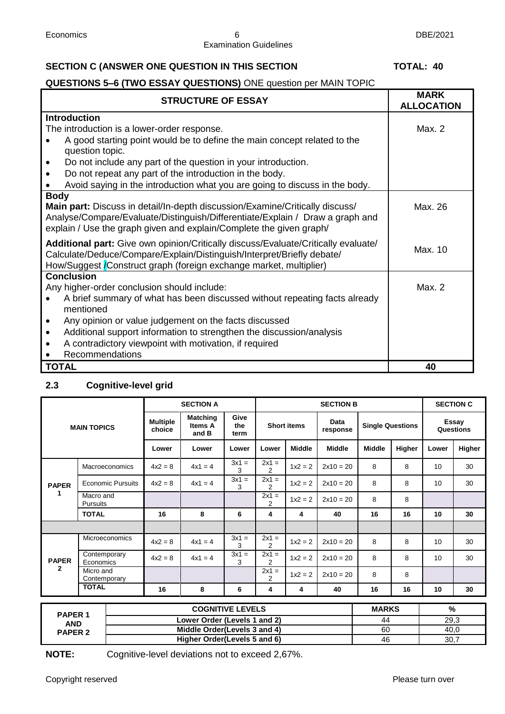#### Economics 6 DBE/2021 Examination Guidelines

#### **SECTION C (ANSWER ONE QUESTION IN THIS SECTION TOTAL: 40**

### **QUESTIONS 5–6 (TWO ESSAY QUESTIONS)** ONE question per MAIN TOPIC

| <b>STRUCTURE OF ESSAY</b>                                                                                                                                                                                                                           | <b>MARK</b><br><b>ALLOCATION</b> |
|-----------------------------------------------------------------------------------------------------------------------------------------------------------------------------------------------------------------------------------------------------|----------------------------------|
| <b>Introduction</b>                                                                                                                                                                                                                                 |                                  |
| The introduction is a lower-order response.                                                                                                                                                                                                         | Max. 2                           |
| A good starting point would be to define the main concept related to the<br>question topic.                                                                                                                                                         |                                  |
| Do not include any part of the question in your introduction.                                                                                                                                                                                       |                                  |
| Do not repeat any part of the introduction in the body.                                                                                                                                                                                             |                                  |
| Avoid saying in the introduction what you are going to discuss in the body.                                                                                                                                                                         |                                  |
| <b>Body</b><br>Main part: Discuss in detail/In-depth discussion/Examine/Critically discuss/<br>Analyse/Compare/Evaluate/Distinguish/Differentiate/Explain / Draw a graph and<br>explain / Use the graph given and explain/Complete the given graph/ | Max. 26                          |
| Additional part: Give own opinion/Critically discuss/Evaluate/Critically evaluate/<br>Calculate/Deduce/Compare/Explain/Distinguish/Interpret/Briefly debate/<br>How/Suggest <i>/Construct graph (foreign exchange market, multiplier)</i>           | Max. 10                          |
| <b>Conclusion</b>                                                                                                                                                                                                                                   |                                  |
| Any higher-order conclusion should include:                                                                                                                                                                                                         | Max. 2                           |
| A brief summary of what has been discussed without repeating facts already<br>mentioned                                                                                                                                                             |                                  |
| Any opinion or value judgement on the facts discussed<br>$\bullet$                                                                                                                                                                                  |                                  |
| Additional support information to strengthen the discussion/analysis<br>$\bullet$                                                                                                                                                                   |                                  |
| A contradictory viewpoint with motivation, if required<br>$\bullet$                                                                                                                                                                                 |                                  |
| Recommendations                                                                                                                                                                                                                                     |                                  |
| <b>TOTAL</b>                                                                                                                                                                                                                                        | 40                               |

### **2.3 Cognitive-level grid**

| <b>MAIN TOPICS</b> |            | <b>SECTION A</b>                                                                                                                                                                |                                     |                     | <b>SECTION B</b>          |                                                                                         |                  |                         | <b>SECTION C</b> |                    |        |
|--------------------|------------|---------------------------------------------------------------------------------------------------------------------------------------------------------------------------------|-------------------------------------|---------------------|---------------------------|-----------------------------------------------------------------------------------------|------------------|-------------------------|------------------|--------------------|--------|
|                    |            | <b>Multiple</b><br>choice                                                                                                                                                       | <b>Matching</b><br>Items A<br>and B | Give<br>the<br>term | <b>Short items</b>        |                                                                                         | Data<br>response | <b>Single Questions</b> |                  | Essay<br>Questions |        |
|                    |            | Lower                                                                                                                                                                           | Lower                               | Lower               | Lower                     | <b>Middle</b>                                                                           | <b>Middle</b>    | <b>Middle</b>           | Higher           | Lower              | Higher |
|                    |            | $4x^2 = 8$                                                                                                                                                                      | $4x1 = 4$                           | $3x1 =$<br>3        | $2x1 =$<br>2              | $1x^2 = 2$                                                                              | $2x10 = 20$      | 8                       | 8                | 10 <sup>1</sup>    | 30     |
|                    |            | $4x^2 = 8$                                                                                                                                                                      | $4x1 = 4$                           | $3x1 =$<br>3        | $2x1 =$<br>$\overline{2}$ | $1x^2 = 2$                                                                              | $2x10 = 20$      | 8                       | 8                | 10 <sup>1</sup>    | 30     |
|                    |            |                                                                                                                                                                                 |                                     |                     | $2x1 =$<br>$\overline{2}$ | $1x^2 = 2$                                                                              | $2x10 = 20$      | 8                       | 8                |                    |        |
| <b>TOTAL</b>       |            | 16                                                                                                                                                                              | 8                                   | 6                   | 4                         | 4                                                                                       | 40               | 16                      | 16               | 10 <sup>1</sup>    | 30     |
|                    |            |                                                                                                                                                                                 |                                     |                     |                           |                                                                                         |                  |                         |                  |                    |        |
|                    |            | $4x^2 = 8$                                                                                                                                                                      | $4x1 = 4$                           | $3x1 =$<br>3        | $2x1 =$<br>2              | $1x^2 = 2$                                                                              | $2x10 = 20$      | 8                       | 8                | 10 <sup>1</sup>    | 30     |
|                    |            | $4x^2 = 8$                                                                                                                                                                      | $4x1 = 4$                           | $3x1 =$<br>3        | $2x1 =$<br>2              | $1x^2 = 2$                                                                              | $2x10 = 20$      | 8                       | 8                | 10 <sup>1</sup>    | 30     |
|                    |            |                                                                                                                                                                                 |                                     |                     | $2x1 =$<br>2              | $1x^2 = 2$                                                                              | $2x10 = 20$      | 8                       | 8                |                    |        |
| <b>TOTAL</b>       |            | 16                                                                                                                                                                              | 8                                   | 6                   | 4                         | 4                                                                                       | 40               | 16                      | 16               | 10                 | 30     |
|                    |            |                                                                                                                                                                                 |                                     |                     |                           |                                                                                         |                  |                         | %                |                    |        |
| <b>PAPER 1</b>     |            |                                                                                                                                                                                 |                                     |                     |                           |                                                                                         |                  |                         |                  |                    |        |
|                    |            |                                                                                                                                                                                 |                                     |                     |                           |                                                                                         |                  |                         |                  | 40,0               |        |
|                    | <b>AND</b> | Macroeconomics<br><b>Economic Pursuits</b><br>Macro and<br><b>Pursuits</b><br><b>Microeconomics</b><br>Contemporary<br>Economics<br>Micro and<br>Contemporary<br><b>PAPER 2</b> |                                     |                     |                           | <b>COGNITIVE LEVELS</b><br>Lower Order (Levels 1 and 2)<br>Middle Order(Levels 3 and 4) |                  |                         | 44               | <b>MARKS</b><br>60 | 29,3   |

**Higher Order(Levels 5 and 6)** 46 46 30,7

**NOTE:** Cognitive-level deviations not to exceed 2,67%.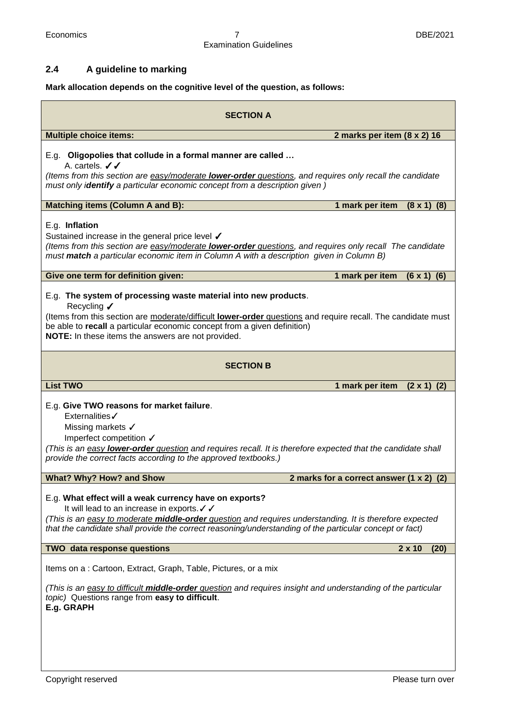#### Economics 7 DBE/2021 Examination Guidelines

#### **2.4 A guideline to marking**

| Mark allocation depends on the cognitive level of the question, as follows:                                                                                                                                                                                                                                                      |  |  |  |  |
|----------------------------------------------------------------------------------------------------------------------------------------------------------------------------------------------------------------------------------------------------------------------------------------------------------------------------------|--|--|--|--|
| <b>SECTION A</b>                                                                                                                                                                                                                                                                                                                 |  |  |  |  |
| <b>Multiple choice items:</b><br>2 marks per item (8 x 2) 16                                                                                                                                                                                                                                                                     |  |  |  |  |
| E.g. Oligopolies that collude in a formal manner are called<br>A. cartels. $\checkmark$<br>(Items from this section are easy/moderate lower-order questions, and requires only recall the candidate<br>must only identify a particular economic concept from a description given)                                                |  |  |  |  |
| <b>Matching items (Column A and B):</b><br>1 mark per item<br>$(8 \times 1)$ $(8)$                                                                                                                                                                                                                                               |  |  |  |  |
| E.g. Inflation<br>Sustained increase in the general price level ✔<br>(Items from this section are easy/moderate lower-order questions, and requires only recall The candidate<br>must match a particular economic item in Column A with a description given in Column B)                                                         |  |  |  |  |
| Give one term for definition given:<br>1 mark per item<br>$(6 \times 1)$ $(6)$                                                                                                                                                                                                                                                   |  |  |  |  |
| E.g. The system of processing waste material into new products.<br>Recycling ✔<br>(Items from this section are moderate/difficult lower-order questions and require recall. The candidate must<br>be able to recall a particular economic concept from a given definition)<br>NOTE: In these items the answers are not provided. |  |  |  |  |
| <b>SECTION B</b>                                                                                                                                                                                                                                                                                                                 |  |  |  |  |
| <b>List TWO</b><br>1 mark per item<br>$(2 \times 1)$ (2)                                                                                                                                                                                                                                                                         |  |  |  |  |
| E.g. Give TWO reasons for market failure.<br>Externalities /<br>Missing markets √<br>Imperfect competition V<br>(This is an easy lower-order question and requires recall. It is therefore expected that the candidate shall<br>provide the correct facts according to the approved textbooks.)                                  |  |  |  |  |
| What? Why? How? and Show<br>2 marks for a correct answer (1 x 2) (2)                                                                                                                                                                                                                                                             |  |  |  |  |
| E.g. What effect will a weak currency have on exports?<br>It will lead to an increase in exports. √ √<br>(This is an easy to moderate middle-order question and requires understanding. It is therefore expected<br>that the candidate shall provide the correct reasoning/understanding of the particular concept or fact)      |  |  |  |  |
| <b>TWO data response questions</b><br>$2 \times 10$<br>(20)                                                                                                                                                                                                                                                                      |  |  |  |  |
| Items on a: Cartoon, Extract, Graph, Table, Pictures, or a mix<br>(This is an easy to difficult <b>middle-order</b> question and requires insight and understanding of the particular<br>topic) Questions range from easy to difficult.<br>E.g. GRAPH                                                                            |  |  |  |  |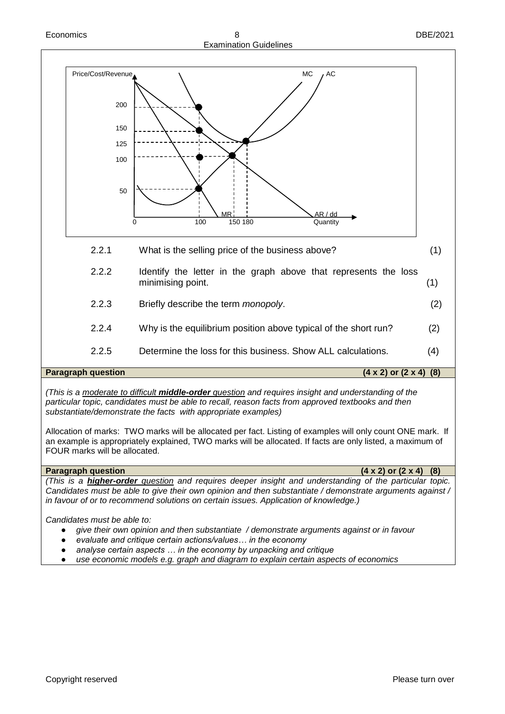



*(This is a moderate to difficult middle-order question and requires insight and understanding of the particular topic, candidates must be able to recall, reason facts from approved textbooks and then substantiate/demonstrate the facts with appropriate examples)* 

Allocation of marks: TWO marks will be allocated per fact. Listing of examples will only count ONE mark. If an example is appropriately explained, TWO marks will be allocated. If facts are only listed, a maximum of FOUR marks will be allocated.

#### **Paragraph question** (4 x 2) or (2 x 4) (8) *(This is a higher-order question and requires deeper insight and understanding of the particular topic. Candidates must be able to give their own opinion and then substantiate / demonstrate arguments against / in favour of or to recommend solutions on certain issues. Application of knowledge.)*

*Candidates must be able to:*

- give their own opinion and then substantiate / demonstrate arguments against or in favour
- evaluate and critique certain actions/values... in the economy
- analyse certain aspects ... in the economy by unpacking and critique
- use economic models e.g. graph and diagram to explain certain aspects of economics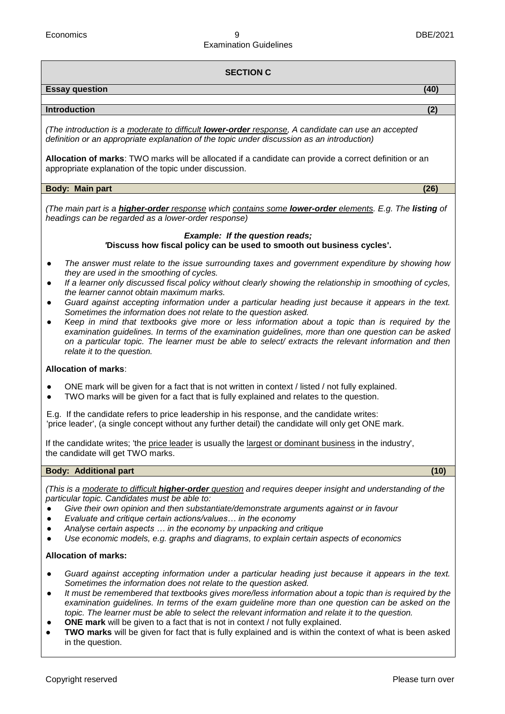#### **SECTION C**

#### **Essay question (40)**

#### **Introduction (2)**

*(The introduction is a moderate to difficult lower-order response, A candidate can use an accepted definition or an appropriate explanation of the topic under discussion as an introduction)*

**Allocation of marks**: TWO marks will be allocated if a candidate can provide a correct definition or an appropriate explanation of the topic under discussion.

#### **Body: Main part** (26) *Body: Main part*

*(The main part is a higher-order response which contains some lower-order elements. E.g. The listing of headings can be regarded as a lower-order response)*

#### *Example: If the question reads; '***Discuss how fiscal policy can be used to smooth out business cycles'.**

- *The answer must relate to the issue surrounding taxes and government expenditure by showing how they are used in the smoothing of cycles.*
- If a learner only discussed fiscal policy without clearly showing the relationship in smoothing of cycles, *the learner cannot obtain maximum marks.*
- Guard against accepting information under a particular heading just because it appears in the text. *Sometimes the information does not relate to the question asked.*
- Keep in mind that textbooks give more or less information about a topic than is required by the *examination guidelines. In terms of the examination guidelines, more than one question can be asked on a particular topic. The learner must be able to select/ extracts the relevant information and then relate it to the question.*

#### **Allocation of marks**:

- ONE mark will be given for a fact that is not written in context / listed / not fully explained.
- TWO marks will be given for a fact that is fully explained and relates to the question.

E.g. If the candidate refers to price leadership in his response, and the candidate writes: 'price leader', (a single concept without any further detail) the candidate will only get ONE mark.

If the candidate writes; 'the price leader is usually the largest or dominant business in the industry', the candidate will get TWO marks.

#### **Body: Additional part (10)**

*(This is a moderate to difficult higher-order question and requires deeper insight and understanding of the particular topic. Candidates must be able to:*

- *Give their own opinion and then substantiate/demonstrate arguments against or in favour*
- *Evaluate and critique certain actions/values… in the economy*
- *Analyse certain aspects … in the economy by unpacking and critique*
- *Use economic models, e.g. graphs and diagrams, to explain certain aspects of economics*

#### **Allocation of marks:**

- Guard against accepting information under a particular heading just because it appears in the text. *Sometimes the information does not relate to the question asked.*
- *It must be remembered that textbooks gives more/less information about a topic than is required by the examination guidelines. In terms of the exam guideline more than one question can be asked on the topic. The learner must be able to select the relevant information and relate it to the question.*
- **ONE mark** will be given to a fact that is not in context / not fully explained.
- **TWO marks** will be given for fact that is fully explained and is within the context of what is been asked in the question.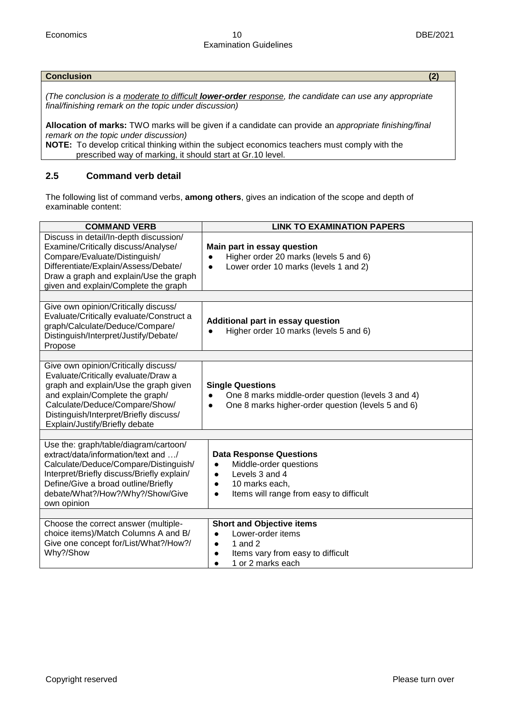#### **Conclusion (2)**

*(The conclusion is a moderate to difficult lower-order response, the candidate can use any appropriate final/finishing remark on the topic under discussion)*

**Allocation of marks:** TWO marks will be given if a candidate can provide an *appropriate finishing/final remark on the topic under discussion)*

**NOTE:** To develop critical thinking within the subject economics teachers must comply with the prescribed way of marking, it should start at Gr.10 level.

#### **2.5 Command verb detail**

The following list of command verbs, **among others**, gives an indication of the scope and depth of examinable content:

| <b>COMMAND VERB</b>                                                                                                                                                                                                                                                   | <b>LINK TO EXAMINATION PAPERS</b>                                                                                                                                                           |
|-----------------------------------------------------------------------------------------------------------------------------------------------------------------------------------------------------------------------------------------------------------------------|---------------------------------------------------------------------------------------------------------------------------------------------------------------------------------------------|
| Discuss in detail/In-depth discussion/<br>Examine/Critically discuss/Analyse/<br>Compare/Evaluate/Distinguish/<br>Differentiate/Explain/Assess/Debate/<br>Draw a graph and explain/Use the graph<br>given and explain/Complete the graph                              | Main part in essay question<br>Higher order 20 marks (levels 5 and 6)<br>$\bullet$<br>Lower order 10 marks (levels 1 and 2)<br>$\bullet$                                                    |
|                                                                                                                                                                                                                                                                       |                                                                                                                                                                                             |
| Give own opinion/Critically discuss/<br>Evaluate/Critically evaluate/Construct a<br>graph/Calculate/Deduce/Compare/<br>Distinguish/Interpret/Justify/Debate/<br>Propose                                                                                               | <b>Additional part in essay question</b><br>Higher order 10 marks (levels 5 and 6)<br>$\bullet$                                                                                             |
|                                                                                                                                                                                                                                                                       |                                                                                                                                                                                             |
| Give own opinion/Critically discuss/<br>Evaluate/Critically evaluate/Draw a<br>graph and explain/Use the graph given<br>and explain/Complete the graph/<br>Calculate/Deduce/Compare/Show/<br>Distinguish/Interpret/Briefly discuss/<br>Explain/Justify/Briefly debate | <b>Single Questions</b><br>One 8 marks middle-order question (levels 3 and 4)<br>$\bullet$<br>One 8 marks higher-order question (levels 5 and 6)<br>$\bullet$                               |
|                                                                                                                                                                                                                                                                       |                                                                                                                                                                                             |
| Use the: graph/table/diagram/cartoon/<br>extract/data/information/text and /<br>Calculate/Deduce/Compare/Distinguish/<br>Interpret/Briefly discuss/Briefly explain/<br>Define/Give a broad outline/Briefly<br>debate/What?/How?/Why?/Show/Give<br>own opinion         | <b>Data Response Questions</b><br>Middle-order questions<br>$\bullet$<br>Levels 3 and 4<br>$\bullet$<br>10 marks each,<br>$\bullet$<br>Items will range from easy to difficult<br>$\bullet$ |
|                                                                                                                                                                                                                                                                       |                                                                                                                                                                                             |
| Choose the correct answer (multiple-<br>choice items)/Match Columns A and B/<br>Give one concept for/List/What?/How?/<br>Why?/Show                                                                                                                                    | <b>Short and Objective items</b><br>Lower-order items<br>$\bullet$<br>1 and $2$<br>$\bullet$<br>Items vary from easy to difficult<br>$\bullet$<br>1 or 2 marks each<br>$\bullet$            |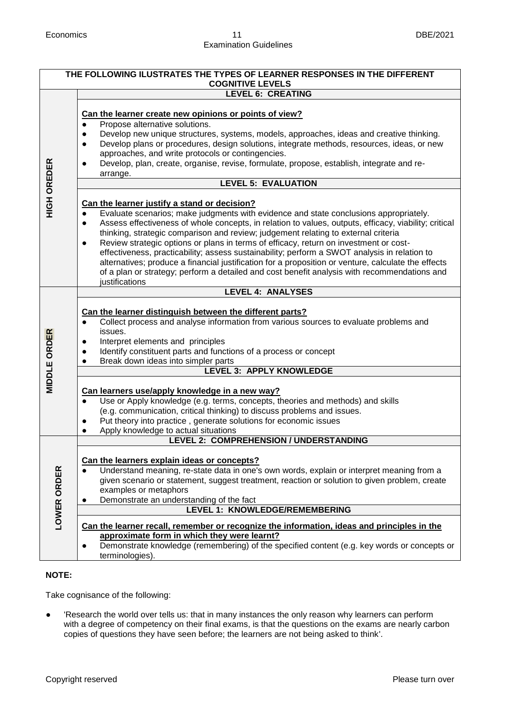| THE FOLLOWING ILUSTRATES THE TYPES OF LEARNER RESPONSES IN THE DIFFERENT<br><b>COGNITIVE LEVELS</b> |                                                                                                                                                                                                                                                                                                                                                                                                                                                                                                                                                                                                                                                                                                                                                                                                                                                                                                                                                                                                                                                                                                                                                                                                                                                                                         |  |  |  |
|-----------------------------------------------------------------------------------------------------|-----------------------------------------------------------------------------------------------------------------------------------------------------------------------------------------------------------------------------------------------------------------------------------------------------------------------------------------------------------------------------------------------------------------------------------------------------------------------------------------------------------------------------------------------------------------------------------------------------------------------------------------------------------------------------------------------------------------------------------------------------------------------------------------------------------------------------------------------------------------------------------------------------------------------------------------------------------------------------------------------------------------------------------------------------------------------------------------------------------------------------------------------------------------------------------------------------------------------------------------------------------------------------------------|--|--|--|
|                                                                                                     | <b>LEVEL 6: CREATING</b>                                                                                                                                                                                                                                                                                                                                                                                                                                                                                                                                                                                                                                                                                                                                                                                                                                                                                                                                                                                                                                                                                                                                                                                                                                                                |  |  |  |
| <b>HIGH OREDER</b>                                                                                  | Can the learner create new opinions or points of view?<br>Propose alternative solutions.<br>Develop new unique structures, systems, models, approaches, ideas and creative thinking.<br>$\bullet$<br>Develop plans or procedures, design solutions, integrate methods, resources, ideas, or new<br>$\bullet$<br>approaches, and write protocols or contingencies.<br>Develop, plan, create, organise, revise, formulate, propose, establish, integrate and re-<br>arrange.<br><b>LEVEL 5: EVALUATION</b><br>Can the learner justify a stand or decision?<br>Evaluate scenarios; make judgments with evidence and state conclusions appropriately.<br>$\bullet$<br>Assess effectiveness of whole concepts, in relation to values, outputs, efficacy, viability; critical<br>$\bullet$<br>thinking, strategic comparison and review; judgement relating to external criteria<br>Review strategic options or plans in terms of efficacy, return on investment or cost-<br>$\bullet$<br>effectiveness, practicability; assess sustainability; perform a SWOT analysis in relation to<br>alternatives; produce a financial justification for a proposition or venture, calculate the effects<br>of a plan or strategy; perform a detailed and cost benefit analysis with recommendations and |  |  |  |
|                                                                                                     | justifications<br><b>LEVEL 4: ANALYSES</b>                                                                                                                                                                                                                                                                                                                                                                                                                                                                                                                                                                                                                                                                                                                                                                                                                                                                                                                                                                                                                                                                                                                                                                                                                                              |  |  |  |
| <b>MIDDLE ORDER</b>                                                                                 | Can the learner distinguish between the different parts?<br>Collect process and analyse information from various sources to evaluate problems and<br>issues.<br>Interpret elements and principles<br>$\bullet$<br>Identify constituent parts and functions of a process or concept<br>$\bullet$<br>Break down ideas into simpler parts<br><b>LEVEL 3: APPLY KNOWLEDGE</b>                                                                                                                                                                                                                                                                                                                                                                                                                                                                                                                                                                                                                                                                                                                                                                                                                                                                                                               |  |  |  |
|                                                                                                     | Can learners use/apply knowledge in a new way?<br>Use or Apply knowledge (e.g. terms, concepts, theories and methods) and skills<br>$\bullet$<br>(e.g. communication, critical thinking) to discuss problems and issues.<br>Put theory into practice, generate solutions for economic issues<br>$\bullet$<br>Apply knowledge to actual situations<br>$\bullet$                                                                                                                                                                                                                                                                                                                                                                                                                                                                                                                                                                                                                                                                                                                                                                                                                                                                                                                          |  |  |  |
|                                                                                                     | LEVEL 2: COMPREHENSION / UNDERSTANDING                                                                                                                                                                                                                                                                                                                                                                                                                                                                                                                                                                                                                                                                                                                                                                                                                                                                                                                                                                                                                                                                                                                                                                                                                                                  |  |  |  |
| LOWER ORDER                                                                                         | Can the learners explain ideas or concepts?<br>Understand meaning, re-state data in one's own words, explain or interpret meaning from a<br>given scenario or statement, suggest treatment, reaction or solution to given problem, create<br>examples or metaphors<br>Demonstrate an understanding of the fact<br><b>LEVEL 1: KNOWLEDGE/REMEMBERING</b>                                                                                                                                                                                                                                                                                                                                                                                                                                                                                                                                                                                                                                                                                                                                                                                                                                                                                                                                 |  |  |  |
|                                                                                                     |                                                                                                                                                                                                                                                                                                                                                                                                                                                                                                                                                                                                                                                                                                                                                                                                                                                                                                                                                                                                                                                                                                                                                                                                                                                                                         |  |  |  |
|                                                                                                     | Can the learner recall, remember or recognize the information, ideas and principles in the<br>approximate form in which they were learnt?<br>Demonstrate knowledge (remembering) of the specified content (e.g. key words or concepts or<br>$\bullet$<br>terminologies).                                                                                                                                                                                                                                                                                                                                                                                                                                                                                                                                                                                                                                                                                                                                                                                                                                                                                                                                                                                                                |  |  |  |

#### **NOTE:**

Take cognisance of the following:

● 'Research the world over tells us: that in many instances the only reason why learners can perform with a degree of competency on their final exams, is that the questions on the exams are nearly carbon copies of questions they have seen before; the learners are not being asked to think'.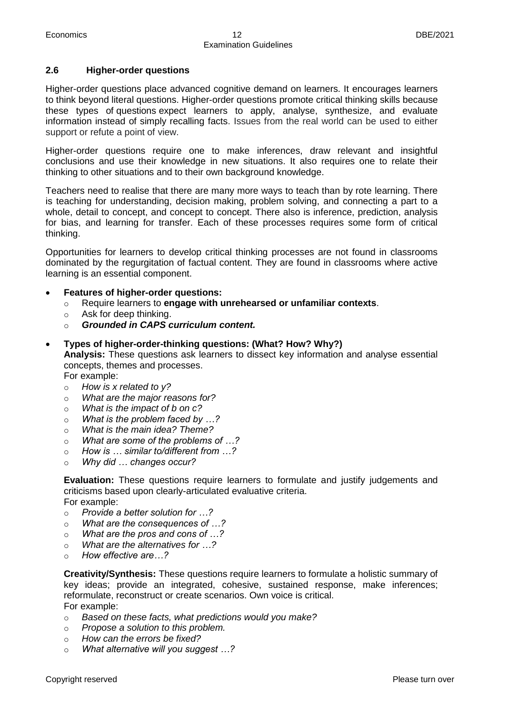#### **2.6 Higher-order questions**

Higher-order questions place advanced cognitive demand on learners. It encourages learners to think beyond literal questions. Higher-order questions promote critical thinking skills because these types of questions expect learners to apply, analyse, synthesize, and evaluate information instead of simply recalling facts. Issues from the real world can be used to either support or refute a point of view.

Higher-order questions require one to make inferences, draw relevant and insightful conclusions and use their knowledge in new situations. It also requires one to relate their thinking to other situations and to their own background knowledge.

Teachers need to realise that there are many more ways to teach than by rote learning. There is teaching for understanding, decision making, problem solving, and connecting a part to a whole, detail to concept, and concept to concept. There also is inference, prediction, analysis for bias, and learning for transfer. Each of these processes requires some form of critical thinking.

Opportunities for learners to develop critical thinking processes are not found in classrooms dominated by the regurgitation of factual content. They are found in classrooms where active learning is an essential component.

- **Features of higher-order questions:** 
	- o Require learners to **engage with unrehearsed or unfamiliar contexts**.
	- o Ask for deep thinking.
	- o *Grounded in CAPS curriculum content.*

#### **Types of higher-order-thinking questions: (What? How? Why?)**

**Analysis:** These questions ask learners to dissect key information and analyse essential concepts, themes and processes.

For example:

- o *How is x related to y?*
- o *What are the major reasons for?*
- o *What is the impact of b on c?*
- o *What is the problem faced by …?*
- o *What is the main idea? Theme?*
- o *What are some of the problems of …?*
- o *How is … similar to/different from …?*
- o *Why did … changes occur?*

**Evaluation:** These questions require learners to formulate and justify judgements and criticisms based upon clearly-articulated evaluative criteria. For example:

- o *Provide a better solution for …?*
- o *What are the consequences of …?*
- o *What are the pros and cons of …?*
- o *What are the alternatives for …?*
- o *How effective are…?*

**Creativity/Synthesis:** These questions require learners to formulate a holistic summary of key ideas; provide an integrated, cohesive, sustained response, make inferences; reformulate, reconstruct or create scenarios. Own voice is critical. For example:

- o *Based on these facts, what predictions would you make?*
- o *Propose a solution to this problem.*
- o *How can the errors be fixed?*
- o *What alternative will you suggest …?*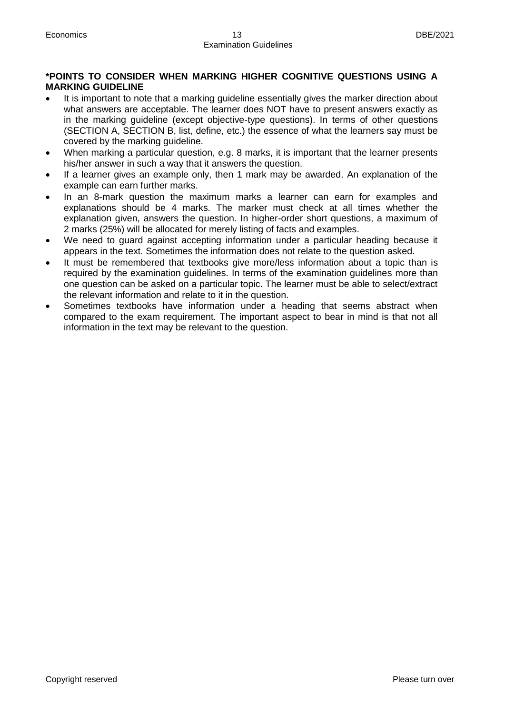#### **\*POINTS TO CONSIDER WHEN MARKING HIGHER COGNITIVE QUESTIONS USING A MARKING GUIDELINE**

- It is important to note that a marking guideline essentially gives the marker direction about what answers are acceptable. The learner does NOT have to present answers exactly as in the marking guideline (except objective-type questions). In terms of other questions (SECTION A, SECTION B, list, define, etc.) the essence of what the learners say must be covered by the marking guideline.
- When marking a particular question, e.g. 8 marks, it is important that the learner presents his/her answer in such a way that it answers the question.
- If a learner gives an example only, then 1 mark may be awarded. An explanation of the example can earn further marks.
- In an 8-mark question the maximum marks a learner can earn for examples and explanations should be 4 marks. The marker must check at all times whether the explanation given, answers the question. In higher-order short questions, a maximum of 2 marks (25%) will be allocated for merely listing of facts and examples.
- We need to guard against accepting information under a particular heading because it appears in the text. Sometimes the information does not relate to the question asked.
- It must be remembered that textbooks give more/less information about a topic than is required by the examination guidelines. In terms of the examination guidelines more than one question can be asked on a particular topic. The learner must be able to select/extract the relevant information and relate to it in the question.
- Sometimes textbooks have information under a heading that seems abstract when compared to the exam requirement. The important aspect to bear in mind is that not all information in the text may be relevant to the question.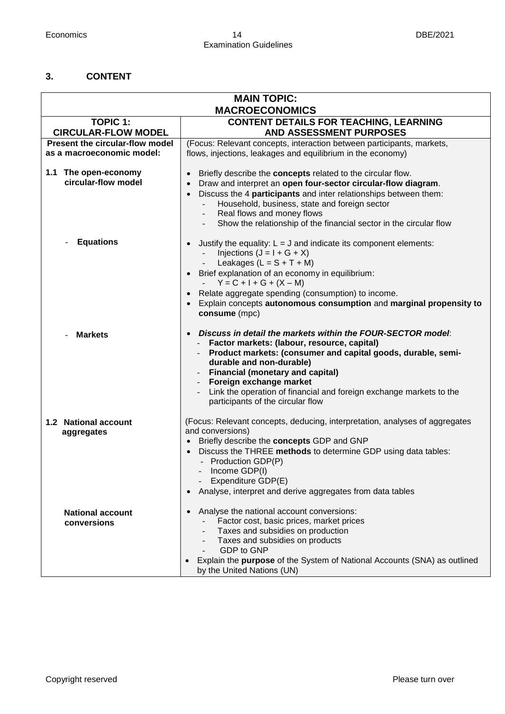#### **3. CONTENT**

| <b>MAIN TOPIC:</b><br><b>MACROECONOMICS</b>                      |                                                                                                                                                                                                                                                                                                                                                                                          |  |  |  |  |
|------------------------------------------------------------------|------------------------------------------------------------------------------------------------------------------------------------------------------------------------------------------------------------------------------------------------------------------------------------------------------------------------------------------------------------------------------------------|--|--|--|--|
| <b>CONTENT DETAILS FOR TEACHING, LEARNING</b><br><b>TOPIC 1:</b> |                                                                                                                                                                                                                                                                                                                                                                                          |  |  |  |  |
| <b>CIRCULAR-FLOW MODEL</b>                                       | AND ASSESSMENT PURPOSES                                                                                                                                                                                                                                                                                                                                                                  |  |  |  |  |
| Present the circular-flow model<br>as a macroeconomic model:     | (Focus: Relevant concepts, interaction between participants, markets,<br>flows, injections, leakages and equilibrium in the economy)                                                                                                                                                                                                                                                     |  |  |  |  |
| 1.1 The open-economy<br>circular-flow model                      | Briefly describe the <b>concepts</b> related to the circular flow.<br>Draw and interpret an open four-sector circular-flow diagram.<br>$\bullet$<br>Discuss the 4 participants and inter relationships between them:<br>$\bullet$<br>Household, business, state and foreign sector<br>Real flows and money flows<br>Show the relationship of the financial sector in the circular flow   |  |  |  |  |
| <b>Equations</b>                                                 | Justify the equality: $L = J$ and indicate its component elements:<br>Injections $(J = I + G + X)$<br>Leakages $(L = S + T + M)$<br>Brief explanation of an economy in equilibrium:<br>$Y = C + I + G + (X - M)$<br>Relate aggregate spending (consumption) to income.<br>Explain concepts autonomous consumption and marginal propensity to<br>consume (mpc)                            |  |  |  |  |
| <b>Markets</b>                                                   | Discuss in detail the markets within the FOUR-SECTOR model:<br>Factor markets: (labour, resource, capital)<br>Product markets: (consumer and capital goods, durable, semi-<br>durable and non-durable)<br><b>Financial (monetary and capital)</b><br>Foreign exchange market<br>Link the operation of financial and foreign exchange markets to the<br>participants of the circular flow |  |  |  |  |
| 1.2 National account<br>aggregates                               | (Focus: Relevant concepts, deducing, interpretation, analyses of aggregates<br>and conversions)<br>Briefly describe the concepts GDP and GNP<br>Discuss the THREE methods to determine GDP using data tables:<br>$\bullet$<br>- Production GDP(P)<br>Income GDP(I)<br>Expenditure GDP(E)<br>Analyse, interpret and derive aggregates from data tables                                    |  |  |  |  |
| <b>National account</b><br>conversions                           | Analyse the national account conversions:<br>Factor cost, basic prices, market prices<br>Taxes and subsidies on production<br>Taxes and subsidies on products<br>GDP to GNP<br>Explain the purpose of the System of National Accounts (SNA) as outlined<br>by the United Nations (UN)                                                                                                    |  |  |  |  |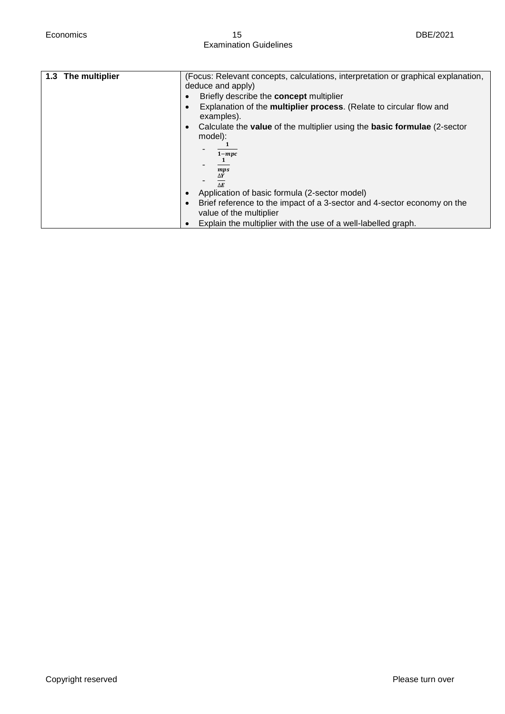| 1.3 The multiplier | (Focus: Relevant concepts, calculations, interpretation or graphical explanation,                   |  |  |
|--------------------|-----------------------------------------------------------------------------------------------------|--|--|
|                    | deduce and apply)                                                                                   |  |  |
|                    |                                                                                                     |  |  |
|                    | Briefly describe the <b>concept</b> multiplier                                                      |  |  |
|                    | Explanation of the multiplier process. (Relate to circular flow and                                 |  |  |
|                    | examples).                                                                                          |  |  |
|                    |                                                                                                     |  |  |
|                    | Calculate the <b>value</b> of the multiplier using the <b>basic formulae</b> (2-sector<br>$\bullet$ |  |  |
|                    | model):                                                                                             |  |  |
|                    |                                                                                                     |  |  |
|                    | $1 - mpc$                                                                                           |  |  |
|                    |                                                                                                     |  |  |
|                    |                                                                                                     |  |  |
|                    | mps                                                                                                 |  |  |
|                    | $\Delta Y$                                                                                          |  |  |
|                    | $\Lambda$ $\bm{F}$                                                                                  |  |  |
|                    | Application of basic formula (2-sector model)                                                       |  |  |
|                    | Brief reference to the impact of a 3-sector and 4-sector economy on the                             |  |  |
|                    | value of the multiplier                                                                             |  |  |
|                    |                                                                                                     |  |  |
|                    | Explain the multiplier with the use of a well-labelled graph.                                       |  |  |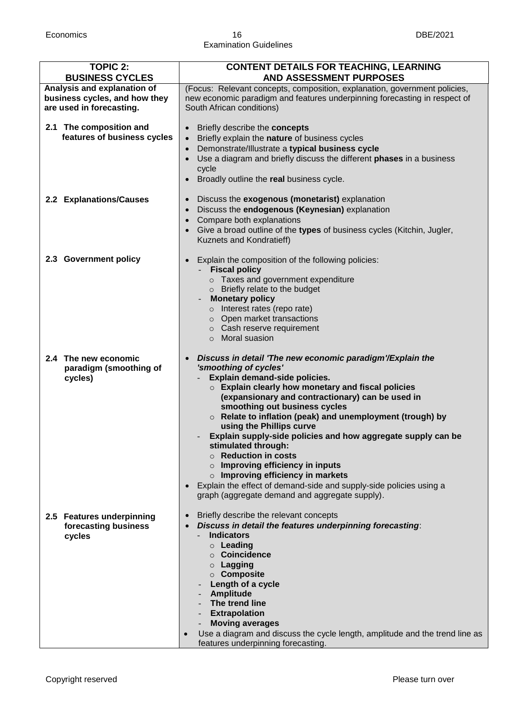#### Economics 16 DBE/2021 Examination Guidelines

| <b>TOPIC 2:</b><br><b>BUSINESS CYCLES</b>                                                | <b>CONTENT DETAILS FOR TEACHING, LEARNING</b><br><b>AND ASSESSMENT PURPOSES</b>                                                                                                                                                                                                                                                                                                                                                                                                                                                                                                                                                                                                                           |
|------------------------------------------------------------------------------------------|-----------------------------------------------------------------------------------------------------------------------------------------------------------------------------------------------------------------------------------------------------------------------------------------------------------------------------------------------------------------------------------------------------------------------------------------------------------------------------------------------------------------------------------------------------------------------------------------------------------------------------------------------------------------------------------------------------------|
| Analysis and explanation of<br>business cycles, and how they<br>are used in forecasting. | (Focus: Relevant concepts, composition, explanation, government policies,<br>new economic paradigm and features underpinning forecasting in respect of<br>South African conditions)                                                                                                                                                                                                                                                                                                                                                                                                                                                                                                                       |
| 2.1 The composition and<br>features of business cycles                                   | Briefly describe the concepts<br>Briefly explain the nature of business cycles<br>$\bullet$<br>Demonstrate/Illustrate a typical business cycle<br>$\bullet$<br>Use a diagram and briefly discuss the different phases in a business<br>cycle<br>Broadly outline the real business cycle.<br>$\bullet$                                                                                                                                                                                                                                                                                                                                                                                                     |
| 2.2 Explanations/Causes                                                                  | Discuss the exogenous (monetarist) explanation<br>$\bullet$<br>Discuss the endogenous (Keynesian) explanation<br>$\bullet$<br>Compare both explanations<br>Give a broad outline of the types of business cycles (Kitchin, Jugler,<br>Kuznets and Kondratieff)                                                                                                                                                                                                                                                                                                                                                                                                                                             |
| 2.3 Government policy                                                                    | Explain the composition of the following policies:<br><b>Fiscal policy</b><br>o Taxes and government expenditure<br>o Briefly relate to the budget<br><b>Monetary policy</b><br>o Interest rates (repo rate)<br>o Open market transactions<br>o Cash reserve requirement<br>$\circ$ Moral suasion                                                                                                                                                                                                                                                                                                                                                                                                         |
| 2.4 The new economic<br>paradigm (smoothing of<br>cycles)                                | Discuss in detail 'The new economic paradigm'/Explain the<br>'smoothing of cycles'<br>Explain demand-side policies.<br>$\circ$ Explain clearly how monetary and fiscal policies<br>(expansionary and contractionary) can be used in<br>smoothing out business cycles<br>$\circ$ Relate to inflation (peak) and unemployment (trough) by<br>using the Phillips curve<br>Explain supply-side policies and how aggregate supply can be<br>stimulated through:<br>$\circ$ Reduction in costs<br>Improving efficiency in inputs<br>$\Omega$<br>$\circ$ Improving efficiency in markets<br>Explain the effect of demand-side and supply-side policies using a<br>graph (aggregate demand and aggregate supply). |
| 2.5 Features underpinning<br>forecasting business<br>cycles                              | Briefly describe the relevant concepts<br>$\bullet$<br>Discuss in detail the features underpinning forecasting:<br><b>Indicators</b><br>$\circ$ Leading<br>○ Coincidence<br>$\circ$ Lagging<br>○ Composite<br>Length of a cycle<br>- Amplitude<br>The trend line<br>- Extrapolation<br><b>Moving averages</b><br>Use a diagram and discuss the cycle length, amplitude and the trend line as<br>$\bullet$<br>features underpinning forecasting.                                                                                                                                                                                                                                                           |

I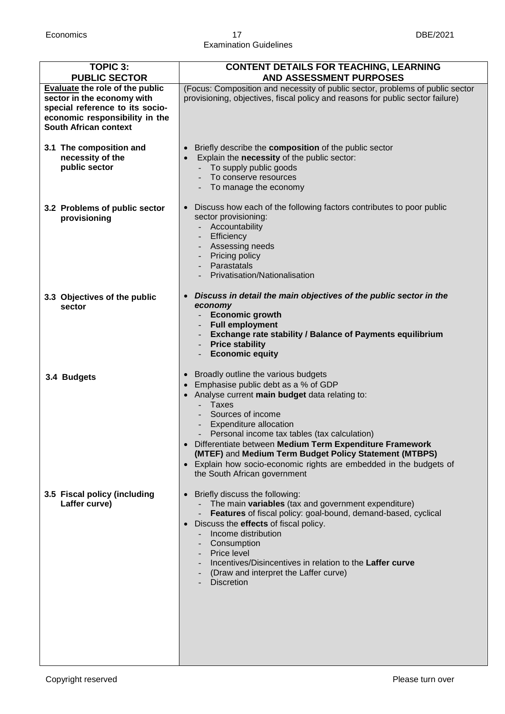#### Economics 17 DBE/2021 Examination Guidelines

| <b>TOPIC 3:</b><br><b>PUBLIC SECTOR</b>                                                                                                                            | <b>CONTENT DETAILS FOR TEACHING, LEARNING</b><br><b>AND ASSESSMENT PURPOSES</b>                                                                                                                                                                                                                                                                                                                                                                                         |
|--------------------------------------------------------------------------------------------------------------------------------------------------------------------|-------------------------------------------------------------------------------------------------------------------------------------------------------------------------------------------------------------------------------------------------------------------------------------------------------------------------------------------------------------------------------------------------------------------------------------------------------------------------|
| Evaluate the role of the public<br>sector in the economy with<br>special reference to its socio-<br>economic responsibility in the<br><b>South African context</b> | (Focus: Composition and necessity of public sector, problems of public sector<br>provisioning, objectives, fiscal policy and reasons for public sector failure)                                                                                                                                                                                                                                                                                                         |
| 3.1 The composition and<br>necessity of the<br>public sector                                                                                                       | Briefly describe the composition of the public sector<br>$\bullet$<br>Explain the necessity of the public sector:<br>$\bullet$<br>To supply public goods<br>To conserve resources<br>To manage the economy                                                                                                                                                                                                                                                              |
| 3.2 Problems of public sector<br>provisioning                                                                                                                      | Discuss how each of the following factors contributes to poor public<br>$\bullet$<br>sector provisioning:<br>- Accountability<br>Efficiency<br>Assessing needs<br>Pricing policy<br>Parastatals<br>Privatisation/Nationalisation                                                                                                                                                                                                                                        |
| 3.3 Objectives of the public<br>sector                                                                                                                             | Discuss in detail the main objectives of the public sector in the<br>$\bullet$<br>economy<br><b>Economic growth</b><br><b>Full employment</b><br>Exchange rate stability / Balance of Payments equilibrium<br><b>Price stability</b><br><b>Economic equity</b>                                                                                                                                                                                                          |
| 3.4 Budgets                                                                                                                                                        | Broadly outline the various budgets<br>Emphasise public debt as a % of GDP<br>Analyse current main budget data relating to:<br><b>Taxes</b><br>Sources of income<br>Expenditure allocation<br>Personal income tax tables (tax calculation)<br>• Differentiate between Medium Term Expenditure Framework<br>(MTEF) and Medium Term Budget Policy Statement (MTBPS)<br>• Explain how socio-economic rights are embedded in the budgets of<br>the South African government |
| 3.5 Fiscal policy (including<br>Laffer curve)                                                                                                                      | Briefly discuss the following:<br>The main variables (tax and government expenditure)<br>Features of fiscal policy: goal-bound, demand-based, cyclical<br>Discuss the <b>effects</b> of fiscal policy.<br>$\bullet$<br>Income distribution<br>Consumption<br>- Price level<br>Incentives/Disincentives in relation to the Laffer curve<br>(Draw and interpret the Laffer curve)<br><b>Discretion</b>                                                                    |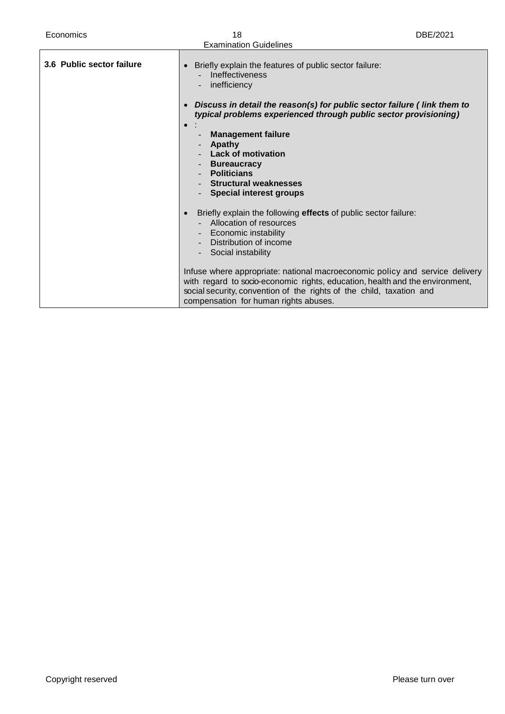| Economics                 | 18<br><b>Examination Guidelines</b>                                                                                                                                                                                                                                                                                                                                                                                                                 | DBE/2021 |
|---------------------------|-----------------------------------------------------------------------------------------------------------------------------------------------------------------------------------------------------------------------------------------------------------------------------------------------------------------------------------------------------------------------------------------------------------------------------------------------------|----------|
| 3.6 Public sector failure | Briefly explain the features of public sector failure:<br>$\bullet$<br><b>Ineffectiveness</b><br>inefficiency<br>Discuss in detail the reason(s) for public sector failure (link them to<br>typical problems experienced through public sector provisioning)<br><b>Management failure</b><br>Apathy<br><b>Lack of motivation</b><br><b>Bureaucracy</b><br><b>Politicians</b><br><b>Structural weaknesses</b><br><b>Special interest groups</b>      |          |
|                           | Briefly explain the following effects of public sector failure:<br>Allocation of resources<br>Economic instability<br>Distribution of income<br>Social instability<br>Infuse where appropriate: national macroeconomic policy and service delivery<br>with regard to socio-economic rights, education, health and the environment,<br>social security, convention of the rights of the child, taxation and<br>compensation for human rights abuses. |          |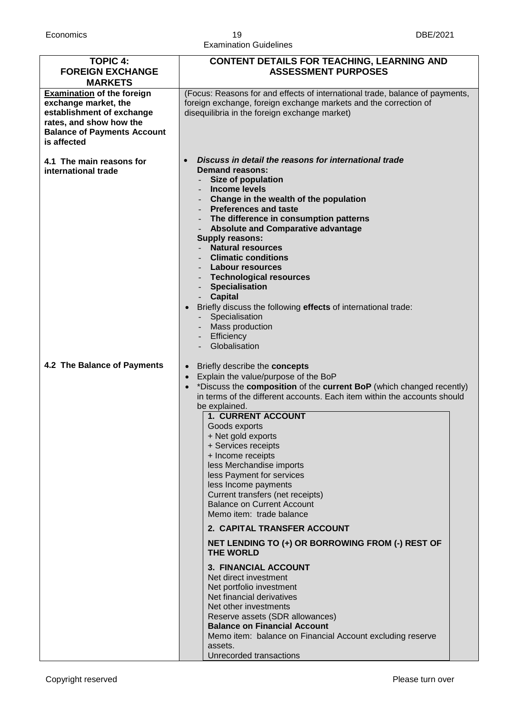| <b>TOPIC 4:</b><br><b>FOREIGN EXCHANGE</b><br><b>MARKETS</b>                                                                                                           | <b>CONTENT DETAILS FOR TEACHING, LEARNING AND</b><br><b>ASSESSMENT PURPOSES</b>                                                                                                                                                                                                                                                                                                                                                                                                                                                                                                                                                                                                                                                                                                                                                                                                                                                                                              |  |
|------------------------------------------------------------------------------------------------------------------------------------------------------------------------|------------------------------------------------------------------------------------------------------------------------------------------------------------------------------------------------------------------------------------------------------------------------------------------------------------------------------------------------------------------------------------------------------------------------------------------------------------------------------------------------------------------------------------------------------------------------------------------------------------------------------------------------------------------------------------------------------------------------------------------------------------------------------------------------------------------------------------------------------------------------------------------------------------------------------------------------------------------------------|--|
| <b>Examination of the foreign</b><br>exchange market, the<br>establishment of exchange<br>rates, and show how the<br><b>Balance of Payments Account</b><br>is affected | (Focus: Reasons for and effects of international trade, balance of payments,<br>foreign exchange, foreign exchange markets and the correction of<br>disequilibria in the foreign exchange market)                                                                                                                                                                                                                                                                                                                                                                                                                                                                                                                                                                                                                                                                                                                                                                            |  |
| 4.1 The main reasons for<br>international trade                                                                                                                        | Discuss in detail the reasons for international trade<br><b>Demand reasons:</b><br>Size of population<br>Income levels<br>- Change in the wealth of the population<br>- Preferences and taste<br>The difference in consumption patterns<br><b>Absolute and Comparative advantage</b><br><b>Supply reasons:</b><br><b>Natural resources</b><br><b>Climatic conditions</b><br>Labour resources<br><b>Technological resources</b><br><b>Specialisation</b><br><b>Capital</b><br>Briefly discuss the following effects of international trade:<br>Specialisation<br>- Mass production<br>Efficiency<br>Globalisation                                                                                                                                                                                                                                                                                                                                                             |  |
| 4.2 The Balance of Payments                                                                                                                                            | Briefly describe the concepts<br>$\bullet$<br>Explain the value/purpose of the BoP<br>$\bullet$<br>*Discuss the composition of the current BoP (which changed recently)<br>$\bullet$<br>in terms of the different accounts. Each item within the accounts should<br>be explained.<br>1. CURRENT ACCOUNT<br>Goods exports<br>+ Net gold exports<br>+ Services receipts<br>+ Income receipts<br>less Merchandise imports<br>less Payment for services<br>less Income payments<br>Current transfers (net receipts)<br><b>Balance on Current Account</b><br>Memo item: trade balance<br>2. CAPITAL TRANSFER ACCOUNT<br>NET LENDING TO (+) OR BORROWING FROM (-) REST OF<br>THE WORLD<br><b>3. FINANCIAL ACCOUNT</b><br>Net direct investment<br>Net portfolio investment<br>Net financial derivatives<br>Net other investments<br>Reserve assets (SDR allowances)<br><b>Balance on Financial Account</b><br>Memo item: balance on Financial Account excluding reserve<br>assets. |  |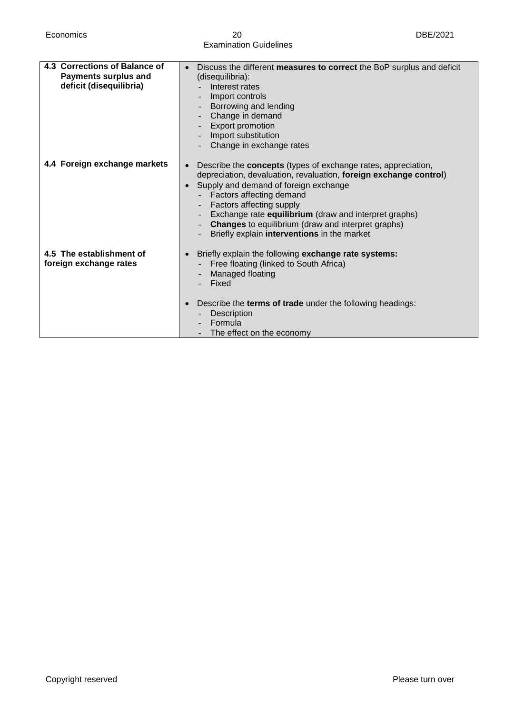Economics 20 DBE/2021 Examination Guidelines

| Interest rates<br>Import controls<br>Borrowing and lending<br>Change in demand<br>Export promotion<br>Import substitution<br>Change in exchange rates                                                                                                                                                                                                                                                           |
|-----------------------------------------------------------------------------------------------------------------------------------------------------------------------------------------------------------------------------------------------------------------------------------------------------------------------------------------------------------------------------------------------------------------|
| Describe the <b>concepts</b> (types of exchange rates, appreciation,<br>depreciation, devaluation, revaluation, foreign exchange control)<br>Supply and demand of foreign exchange<br>Factors affecting demand<br>Factors affecting supply<br>Exchange rate equilibrium (draw and interpret graphs)<br><b>Changes</b> to equilibrium (draw and interpret graphs)<br>Briefly explain interventions in the market |
| Briefly explain the following exchange rate systems:<br>Free floating (linked to South Africa)<br>Managed floating<br>Fixed<br>Describe the terms of trade under the following headings:<br>Description<br>Formula<br>The effect on the economy                                                                                                                                                                 |
|                                                                                                                                                                                                                                                                                                                                                                                                                 |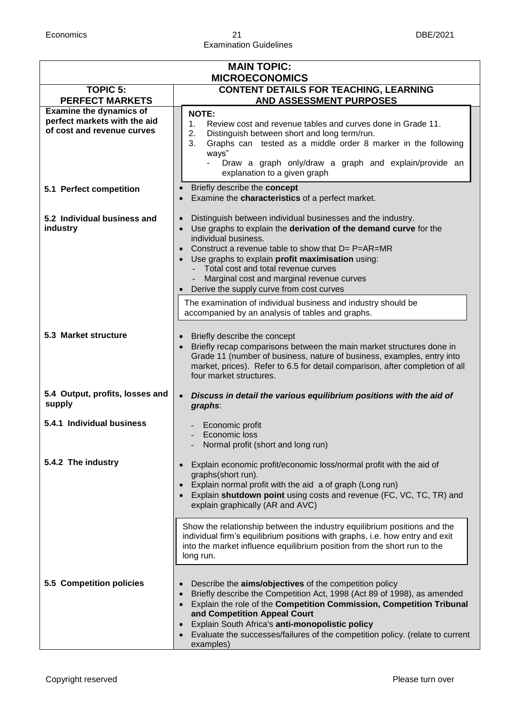#### Economics 21 DBE/2021 Examination Guidelines

| <b>MAIN TOPIC:</b><br><b>MICROECONOMICS</b>                                                  |                                                                                                                                                                                                                                                                                                                                                                                                                                                          |  |
|----------------------------------------------------------------------------------------------|----------------------------------------------------------------------------------------------------------------------------------------------------------------------------------------------------------------------------------------------------------------------------------------------------------------------------------------------------------------------------------------------------------------------------------------------------------|--|
| <b>TOPIC 5:</b>                                                                              | <b>CONTENT DETAILS FOR TEACHING, LEARNING</b>                                                                                                                                                                                                                                                                                                                                                                                                            |  |
| <b>PERFECT MARKETS</b>                                                                       | <b>AND ASSESSMENT PURPOSES</b>                                                                                                                                                                                                                                                                                                                                                                                                                           |  |
| <b>Examine the dynamics of</b><br>perfect markets with the aid<br>of cost and revenue curves | <b>NOTE:</b><br>Review cost and revenue tables and curves done in Grade 11.<br>1.<br>2.<br>Distinguish between short and long term/run.<br>Graphs can tested as a middle order 8 marker in the following<br>3.<br>ways"<br>Draw a graph only/draw a graph and explain/provide an<br>explanation to a given graph                                                                                                                                         |  |
| 5.1 Perfect competition                                                                      | Briefly describe the concept<br>Examine the characteristics of a perfect market.                                                                                                                                                                                                                                                                                                                                                                         |  |
| 5.2 Individual business and<br>industry                                                      | Distinguish between individual businesses and the industry.<br>$\bullet$<br>Use graphs to explain the derivation of the demand curve for the<br>$\bullet$<br>individual business.<br>Construct a revenue table to show that $D = P = AR = MR$<br>Use graphs to explain profit maximisation using:<br>Total cost and total revenue curves<br>$\omega_{\rm{eff}}$<br>Marginal cost and marginal revenue curves<br>Derive the supply curve from cost curves |  |
|                                                                                              | The examination of individual business and industry should be<br>accompanied by an analysis of tables and graphs.                                                                                                                                                                                                                                                                                                                                        |  |
| 5.3 Market structure                                                                         | Briefly describe the concept<br>Briefly recap comparisons between the main market structures done in<br>$\bullet$<br>Grade 11 (number of business, nature of business, examples, entry into<br>market, prices). Refer to 6.5 for detail comparison, after completion of all<br>four market structures.                                                                                                                                                   |  |
| 5.4 Output, profits, losses and<br>supply                                                    | Discuss in detail the various equilibrium positions with the aid of<br>$\bullet$<br>graphs:                                                                                                                                                                                                                                                                                                                                                              |  |
| 5.4.1 Individual business                                                                    | Economic profit<br>Economic loss<br>Normal profit (short and long run)                                                                                                                                                                                                                                                                                                                                                                                   |  |
| 5.4.2 The industry                                                                           | Explain economic profit/economic loss/normal profit with the aid of<br>graphs(short run).<br>Explain normal profit with the aid a of graph (Long run)<br>Explain shutdown point using costs and revenue (FC, VC, TC, TR) and<br>explain graphically (AR and AVC)                                                                                                                                                                                         |  |
|                                                                                              | Show the relationship between the industry equilibrium positions and the<br>individual firm's equilibrium positions with graphs, i.e. how entry and exit<br>into the market influence equilibrium position from the short run to the<br>long run.                                                                                                                                                                                                        |  |
| 5.5 Competition policies                                                                     | Describe the <b>aims/objectives</b> of the competition policy<br>Briefly describe the Competition Act, 1998 (Act 89 of 1998), as amended<br>Explain the role of the Competition Commission, Competition Tribunal<br>and Competition Appeal Court<br>Explain South Africa's anti-monopolistic policy<br>Evaluate the successes/failures of the competition policy. (relate to current<br>examples)                                                        |  |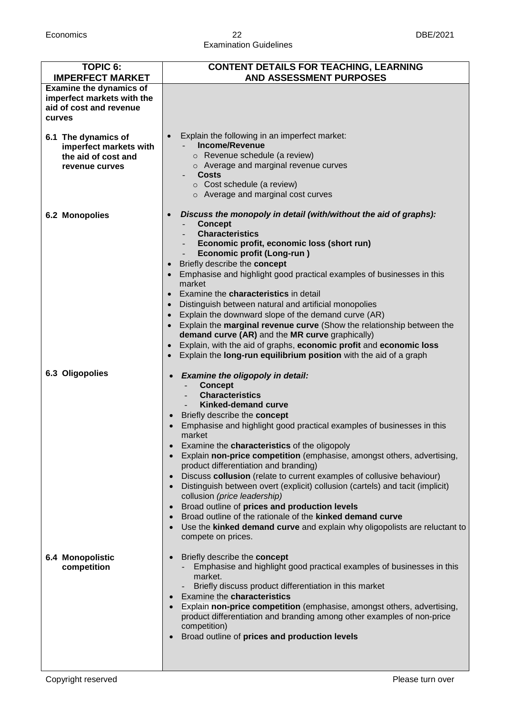#### Economics 22 DBE/2021 Examination Guidelines

| <b>TOPIC 6:</b>                                                                                   | <b>CONTENT DETAILS FOR TEACHING, LEARNING</b>                                                                                                                                                                                                                                                                                                                                                                                                                                                                                                                                                                                                                                                                                                                                                                                                                                                          |
|---------------------------------------------------------------------------------------------------|--------------------------------------------------------------------------------------------------------------------------------------------------------------------------------------------------------------------------------------------------------------------------------------------------------------------------------------------------------------------------------------------------------------------------------------------------------------------------------------------------------------------------------------------------------------------------------------------------------------------------------------------------------------------------------------------------------------------------------------------------------------------------------------------------------------------------------------------------------------------------------------------------------|
| <b>IMPERFECT MARKET</b>                                                                           | <b>AND ASSESSMENT PURPOSES</b>                                                                                                                                                                                                                                                                                                                                                                                                                                                                                                                                                                                                                                                                                                                                                                                                                                                                         |
| <b>Examine the dynamics of</b><br>imperfect markets with the<br>aid of cost and revenue<br>curves |                                                                                                                                                                                                                                                                                                                                                                                                                                                                                                                                                                                                                                                                                                                                                                                                                                                                                                        |
| 6.1 The dynamics of<br>imperfect markets with<br>the aid of cost and<br>revenue curves            | Explain the following in an imperfect market:<br><b>Income/Revenue</b><br>o Revenue schedule (a review)<br>o Average and marginal revenue curves<br><b>Costs</b><br>$\circ$ Cost schedule (a review)<br>o Average and marginal cost curves                                                                                                                                                                                                                                                                                                                                                                                                                                                                                                                                                                                                                                                             |
| 6.2 Monopolies                                                                                    | Discuss the monopoly in detail (with/without the aid of graphs):<br><b>Concept</b><br><b>Characteristics</b><br>Economic profit, economic loss (short run)<br><b>Economic profit (Long-run)</b><br>Briefly describe the concept<br>$\bullet$<br>Emphasise and highlight good practical examples of businesses in this<br>$\bullet$<br>market<br>Examine the <b>characteristics</b> in detail<br>Distinguish between natural and artificial monopolies<br>$\bullet$<br>Explain the downward slope of the demand curve (AR)<br>$\bullet$<br>Explain the marginal revenue curve (Show the relationship between the<br>$\bullet$<br>demand curve (AR) and the MR curve graphically)<br>Explain, with the aid of graphs, economic profit and economic loss<br>$\bullet$<br>Explain the long-run equilibrium position with the aid of a graph                                                                |
| 6.3 Oligopolies                                                                                   | Examine the oligopoly in detail:<br><b>Concept</b><br><b>Characteristics</b><br><b>Kinked-demand curve</b><br>Briefly describe the concept<br>Emphasise and highlight good practical examples of businesses in this<br>market<br>Examine the characteristics of the oligopoly<br>$\bullet$<br>Explain non-price competition (emphasise, amongst others, advertising,<br>$\bullet$<br>product differentiation and branding)<br>Discuss collusion (relate to current examples of collusive behaviour)<br>$\bullet$<br>Distinguish between overt (explicit) collusion (cartels) and tacit (implicit)<br>$\bullet$<br>collusion (price leadership)<br>Broad outline of prices and production levels<br>$\bullet$<br>Broad outline of the rationale of the kinked demand curve<br>$\bullet$<br>Use the kinked demand curve and explain why oligopolists are reluctant to<br>$\bullet$<br>compete on prices. |
| <b>6.4 Monopolistic</b><br>competition                                                            | Briefly describe the concept<br>$\bullet$<br>Emphasise and highlight good practical examples of businesses in this<br>market.<br>Briefly discuss product differentiation in this market<br>Examine the characteristics<br>$\bullet$<br>Explain non-price competition (emphasise, amongst others, advertising,<br>product differentiation and branding among other examples of non-price<br>competition)<br>Broad outline of prices and production levels                                                                                                                                                                                                                                                                                                                                                                                                                                               |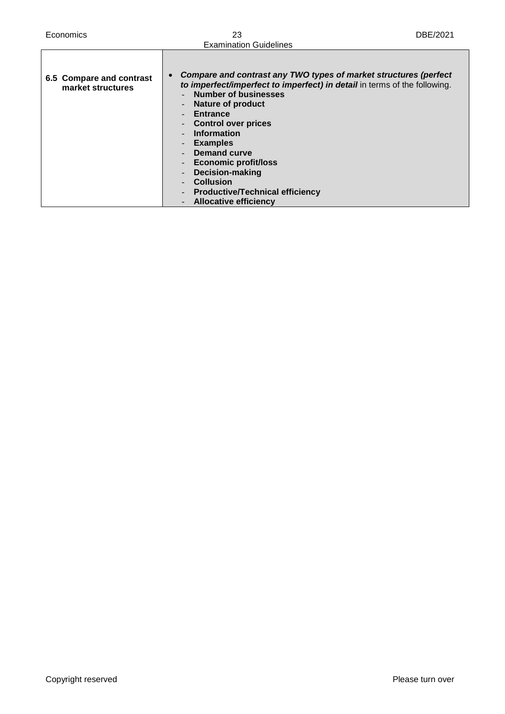| Economics                                     | 23                                                                                                                                                                                                                                                                                                                                                                                                                                                                               | DBE/2021 |
|-----------------------------------------------|----------------------------------------------------------------------------------------------------------------------------------------------------------------------------------------------------------------------------------------------------------------------------------------------------------------------------------------------------------------------------------------------------------------------------------------------------------------------------------|----------|
|                                               | <b>Examination Guidelines</b>                                                                                                                                                                                                                                                                                                                                                                                                                                                    |          |
| 6.5 Compare and contrast<br>market structures | Compare and contrast any TWO types of market structures (perfect<br>to imperfect/imperfect to imperfect) in detail in terms of the following.<br><b>Number of businesses</b><br><b>Nature of product</b><br><b>Entrance</b><br><b>Control over prices</b><br><b>Information</b><br><b>Examples</b><br><b>Demand curve</b><br><b>Economic profit/loss</b><br><b>Decision-making</b><br><b>Collusion</b><br><b>Productive/Technical efficiency</b><br><b>Allocative efficiency</b> |          |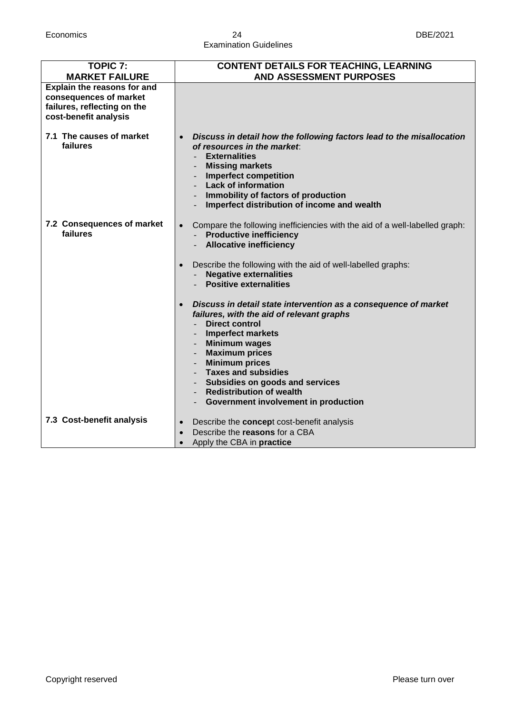#### Economics 24 DBE/2021 Examination Guidelines

| <b>TOPIC 7:</b><br><b>MARKET FAILURE</b>                                                                      | <b>CONTENT DETAILS FOR TEACHING, LEARNING</b><br><b>AND ASSESSMENT PURPOSES</b>                                                                                                                                                                                                                                                                                                                |
|---------------------------------------------------------------------------------------------------------------|------------------------------------------------------------------------------------------------------------------------------------------------------------------------------------------------------------------------------------------------------------------------------------------------------------------------------------------------------------------------------------------------|
| Explain the reasons for and<br>consequences of market<br>failures, reflecting on the<br>cost-benefit analysis |                                                                                                                                                                                                                                                                                                                                                                                                |
| 7.1 The causes of market<br>failures                                                                          | Discuss in detail how the following factors lead to the misallocation<br>$\bullet$<br>of resources in the market:<br><b>Externalities</b><br><b>Missing markets</b><br><b>Imperfect competition</b><br><b>Lack of information</b><br>Immobility of factors of production<br>Imperfect distribution of income and wealth                                                                        |
| 7.2 Consequences of market<br>failures                                                                        | Compare the following inefficiencies with the aid of a well-labelled graph:<br>$\bullet$<br><b>Productive inefficiency</b><br><b>Allocative inefficiency</b><br>Describe the following with the aid of well-labelled graphs:<br><b>Negative externalities</b><br><b>Positive externalities</b>                                                                                                 |
|                                                                                                               | Discuss in detail state intervention as a consequence of market<br>failures, with the aid of relevant graphs<br><b>Direct control</b><br><b>Imperfect markets</b><br><b>Minimum wages</b><br><b>Maximum prices</b><br><b>Minimum prices</b><br><b>Taxes and subsidies</b><br>Subsidies on goods and services<br><b>Redistribution of wealth</b><br><b>Government involvement in production</b> |
| 7.3 Cost-benefit analysis                                                                                     | Describe the concept cost-benefit analysis<br>Describe the reasons for a CBA<br>Apply the CBA in practice                                                                                                                                                                                                                                                                                      |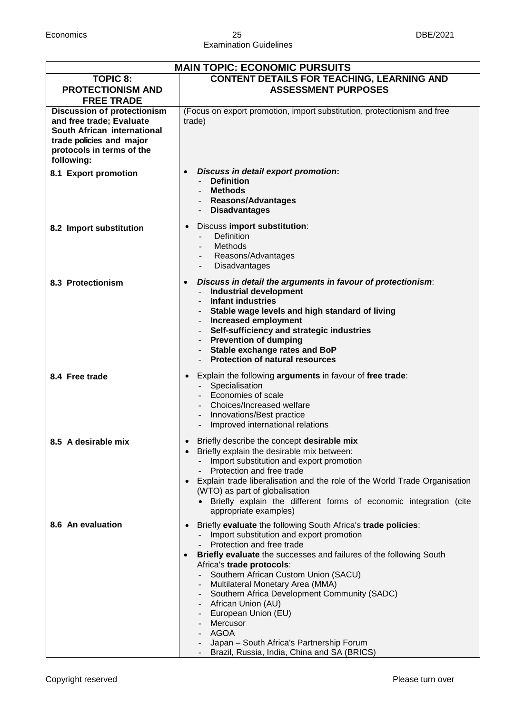| <b>MAIN TOPIC: ECONOMIC PURSUITS</b>                                                                                                                                 |                                                                                                                                                                                                                                                                                                                                                                                                                                                                                                                                       |  |
|----------------------------------------------------------------------------------------------------------------------------------------------------------------------|---------------------------------------------------------------------------------------------------------------------------------------------------------------------------------------------------------------------------------------------------------------------------------------------------------------------------------------------------------------------------------------------------------------------------------------------------------------------------------------------------------------------------------------|--|
| <b>TOPIC 8:</b><br><b>PROTECTIONISM AND</b><br><b>FREE TRADE</b>                                                                                                     | <b>CONTENT DETAILS FOR TEACHING, LEARNING AND</b><br><b>ASSESSMENT PURPOSES</b>                                                                                                                                                                                                                                                                                                                                                                                                                                                       |  |
| <b>Discussion of protectionism</b><br>and free trade; Evaluate<br>South African international<br>trade policies and major<br>protocols in terms of the<br>following: | (Focus on export promotion, import substitution, protectionism and free<br>trade)                                                                                                                                                                                                                                                                                                                                                                                                                                                     |  |
| 8.1 Export promotion                                                                                                                                                 | Discuss in detail export promotion:<br><b>Definition</b><br>- Methods<br>- Reasons/Advantages<br>- Disadvantages                                                                                                                                                                                                                                                                                                                                                                                                                      |  |
| 8.2 Import substitution                                                                                                                                              | Discuss import substitution:<br>$\bullet$<br>Definition<br>Methods<br>Reasons/Advantages<br>Disadvantages                                                                                                                                                                                                                                                                                                                                                                                                                             |  |
| 8.3 Protectionism                                                                                                                                                    | Discuss in detail the arguments in favour of protectionism:<br>$\bullet$<br><b>Industrial development</b><br><b>Infant industries</b><br>Stable wage levels and high standard of living<br><b>Increased employment</b><br>Self-sufficiency and strategic industries<br>- Prevention of dumping<br>- Stable exchange rates and BoP<br>- Protection of natural resources                                                                                                                                                                |  |
| 8.4 Free trade                                                                                                                                                       | Explain the following arguments in favour of free trade:<br>$\bullet$<br>Specialisation<br>$\omega_{\rm{max}}$<br>- Economies of scale<br>- Choices/Increased welfare<br>- Innovations/Best practice<br>Improved international relations                                                                                                                                                                                                                                                                                              |  |
| 8.5 A desirable mix                                                                                                                                                  | Briefly describe the concept desirable mix<br>Briefly explain the desirable mix between:<br>Import substitution and export promotion<br>Protection and free trade<br>Explain trade liberalisation and the role of the World Trade Organisation<br>(WTO) as part of globalisation<br>• Briefly explain the different forms of economic integration (cite<br>appropriate examples)                                                                                                                                                      |  |
| 8.6 An evaluation                                                                                                                                                    | Briefly evaluate the following South Africa's trade policies:<br>Import substitution and export promotion<br>Protection and free trade<br>Briefly evaluate the successes and failures of the following South<br>Africa's trade protocols:<br>Southern African Custom Union (SACU)<br>Multilateral Monetary Area (MMA)<br>Southern Africa Development Community (SADC)<br>- African Union (AU)<br>- European Union (EU)<br>Mercusor<br>AGOA<br>Japan - South Africa's Partnership Forum<br>Brazil, Russia, India, China and SA (BRICS) |  |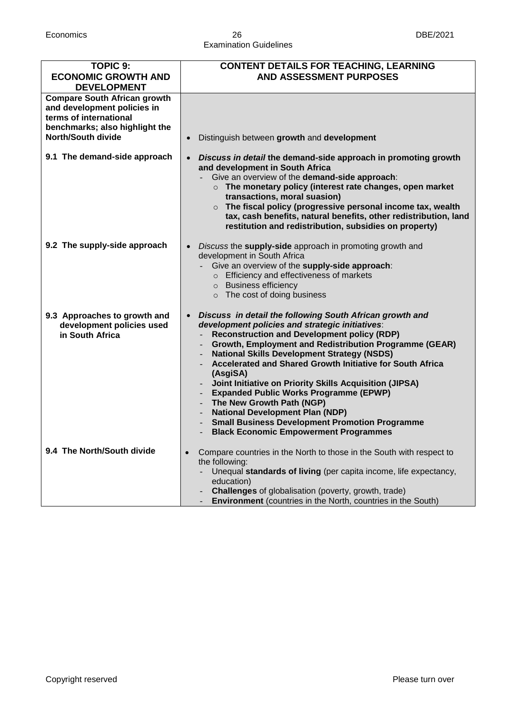#### Economics 26 DBE/2021 Examination Guidelines

| <b>TOPIC 9:</b>                                                                                                                                             | <b>CONTENT DETAILS FOR TEACHING, LEARNING</b>                                                                                                                                                                                                                                                                                                                                                                                                                                                                                                                                                                                                     |
|-------------------------------------------------------------------------------------------------------------------------------------------------------------|---------------------------------------------------------------------------------------------------------------------------------------------------------------------------------------------------------------------------------------------------------------------------------------------------------------------------------------------------------------------------------------------------------------------------------------------------------------------------------------------------------------------------------------------------------------------------------------------------------------------------------------------------|
| <b>ECONOMIC GROWTH AND</b><br><b>DEVELOPMENT</b>                                                                                                            | <b>AND ASSESSMENT PURPOSES</b>                                                                                                                                                                                                                                                                                                                                                                                                                                                                                                                                                                                                                    |
| <b>Compare South African growth</b><br>and development policies in<br>terms of international<br>benchmarks; also highlight the<br><b>North/South divide</b> | Distinguish between growth and development<br>$\bullet$                                                                                                                                                                                                                                                                                                                                                                                                                                                                                                                                                                                           |
| 9.1 The demand-side approach                                                                                                                                | Discuss in detail the demand-side approach in promoting growth<br>$\bullet$<br>and development in South Africa<br>Give an overview of the demand-side approach:<br>$\circ$ The monetary policy (interest rate changes, open market<br>transactions, moral suasion)<br>The fiscal policy (progressive personal income tax, wealth<br>$\circ$<br>tax, cash benefits, natural benefits, other redistribution, land<br>restitution and redistribution, subsidies on property)                                                                                                                                                                         |
| 9.2 The supply-side approach                                                                                                                                | Discuss the supply-side approach in promoting growth and<br>development in South Africa<br>Give an overview of the supply-side approach:<br>o Efficiency and effectiveness of markets<br>o Business efficiency<br>o The cost of doing business                                                                                                                                                                                                                                                                                                                                                                                                    |
| 9.3 Approaches to growth and<br>development policies used<br>in South Africa                                                                                | Discuss in detail the following South African growth and<br>development policies and strategic initiatives:<br><b>Reconstruction and Development policy (RDP)</b><br>Growth, Employment and Redistribution Programme (GEAR)<br><b>National Skills Development Strategy (NSDS)</b><br>Accelerated and Shared Growth Initiative for South Africa<br>(AsgiSA)<br>Joint Initiative on Priority Skills Acquisition (JIPSA)<br><b>Expanded Public Works Programme (EPWP)</b><br>The New Growth Path (NGP)<br><b>National Development Plan (NDP)</b><br>- Small Business Development Promotion Programme<br><b>Black Economic Empowerment Programmes</b> |
| 9.4 The North/South divide                                                                                                                                  | Compare countries in the North to those in the South with respect to<br>the following:<br>Unequal standards of living (per capita income, life expectancy,<br>education)<br><b>Challenges</b> of globalisation (poverty, growth, trade)<br><b>Environment</b> (countries in the North, countries in the South)                                                                                                                                                                                                                                                                                                                                    |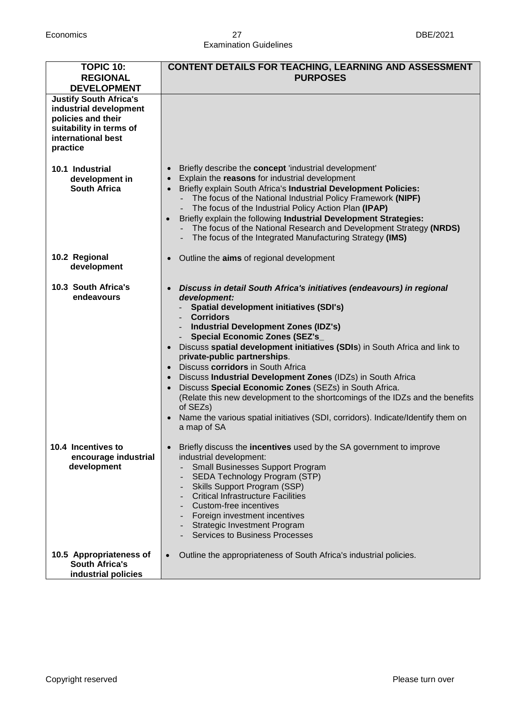#### Economics 27 DBE/2021 Examination Guidelines

| <b>TOPIC 10:</b><br><b>REGIONAL</b><br><b>DEVELOPMENT</b>                                                                                  | <b>CONTENT DETAILS FOR TEACHING, LEARNING AND ASSESSMENT</b><br><b>PURPOSES</b>                                                                                                                                                                                                                                                                                                                                                                                                                                                                                                                                                                                                                                                     |
|--------------------------------------------------------------------------------------------------------------------------------------------|-------------------------------------------------------------------------------------------------------------------------------------------------------------------------------------------------------------------------------------------------------------------------------------------------------------------------------------------------------------------------------------------------------------------------------------------------------------------------------------------------------------------------------------------------------------------------------------------------------------------------------------------------------------------------------------------------------------------------------------|
| <b>Justify South Africa's</b><br>industrial development<br>policies and their<br>suitability in terms of<br>international best<br>practice |                                                                                                                                                                                                                                                                                                                                                                                                                                                                                                                                                                                                                                                                                                                                     |
| 10.1 Industrial<br>development in<br><b>South Africa</b>                                                                                   | Briefly describe the concept 'industrial development'<br>Explain the reasons for industrial development<br>Briefly explain South Africa's Industrial Development Policies:<br>- The focus of the National Industrial Policy Framework (NIPF)<br>The focus of the Industrial Policy Action Plan (IPAP)<br>Briefly explain the following Industrial Development Strategies:<br>- The focus of the National Research and Development Strategy (NRDS)<br>The focus of the Integrated Manufacturing Strategy (IMS)                                                                                                                                                                                                                       |
| 10.2 Regional<br>development                                                                                                               | Outline the aims of regional development                                                                                                                                                                                                                                                                                                                                                                                                                                                                                                                                                                                                                                                                                            |
| 10.3 South Africa's<br>endeavours                                                                                                          | Discuss in detail South Africa's initiatives (endeavours) in regional<br>development:<br><b>Spatial development initiatives (SDI's)</b><br><b>Corridors</b><br><b>Industrial Development Zones (IDZ's)</b><br><b>Special Economic Zones (SEZ's_</b><br>Discuss spatial development initiatives (SDIs) in South Africa and link to<br>private-public partnerships.<br>Discuss corridors in South Africa<br>• Discuss Industrial Development Zones (IDZs) in South Africa<br>• Discuss Special Economic Zones (SEZs) in South Africa.<br>(Relate this new development to the shortcomings of the IDZs and the benefits<br>of SEZs)<br>Name the various spatial initiatives (SDI, corridors). Indicate/Identify them on<br>a map of SA |
| 10.4 Incentives to<br>encourage industrial<br>development                                                                                  | Briefly discuss the <b>incentives</b> used by the SA government to improve<br>industrial development:<br>Small Businesses Support Program<br>SEDA Technology Program (STP)<br>Skills Support Program (SSP)<br><b>Critical Infrastructure Facilities</b><br>Custom-free incentives<br>Foreign investment incentives<br><b>Strategic Investment Program</b><br><b>Services to Business Processes</b>                                                                                                                                                                                                                                                                                                                                  |
| 10.5 Appropriateness of<br><b>South Africa's</b><br>industrial policies                                                                    | Outline the appropriateness of South Africa's industrial policies.<br>$\bullet$                                                                                                                                                                                                                                                                                                                                                                                                                                                                                                                                                                                                                                                     |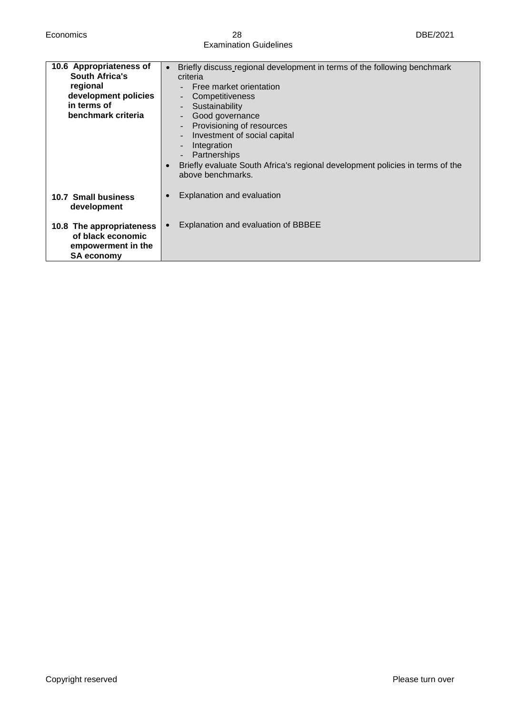#### Economics 28 DBE/2021 Examination Guidelines

| 10.6 Appropriateness of<br><b>South Africa's</b><br>regional<br>development policies<br>in terms of<br>benchmark criteria | Briefly discuss regional development in terms of the following benchmark<br>$\bullet$<br>criteria<br>Free market orientation<br>Competitiveness<br>Sustainability<br>Good governance<br>Provisioning of resources<br>$\overline{\phantom{a}}$<br>Investment of social capital<br>Integration<br>Partnerships<br>Briefly evaluate South Africa's regional development policies in terms of the<br>$\bullet$<br>above benchmarks. |
|---------------------------------------------------------------------------------------------------------------------------|---------------------------------------------------------------------------------------------------------------------------------------------------------------------------------------------------------------------------------------------------------------------------------------------------------------------------------------------------------------------------------------------------------------------------------|
| 10.7 Small business<br>development                                                                                        | Explanation and evaluation                                                                                                                                                                                                                                                                                                                                                                                                      |
| 10.8 The appropriateness<br>of black economic<br>empowerment in the<br><b>SA economy</b>                                  | Explanation and evaluation of BBBEE                                                                                                                                                                                                                                                                                                                                                                                             |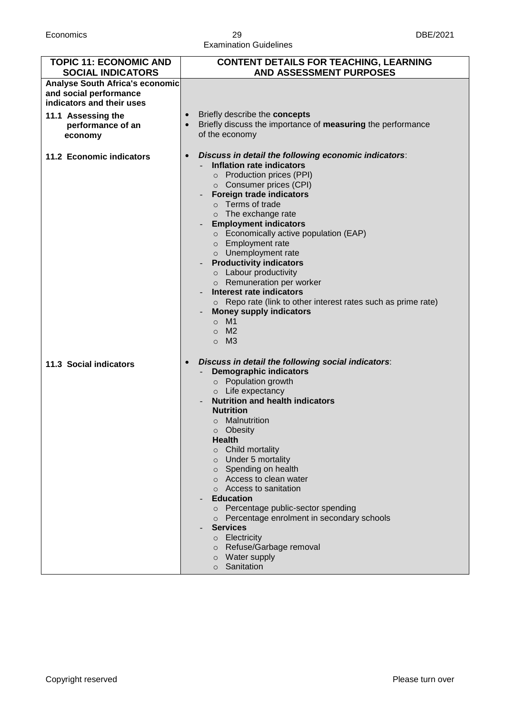#### Economics 29 DBE/2021 Examination Guidelines

| <b>TOPIC 11: ECONOMIC AND</b><br><b>SOCIAL INDICATORS</b>                              | <b>CONTENT DETAILS FOR TEACHING, LEARNING</b><br><b>AND ASSESSMENT PURPOSES</b>                                                                                                                                                                                                                                                                                                                                                                                                                                                                                                                                                                                                 |
|----------------------------------------------------------------------------------------|---------------------------------------------------------------------------------------------------------------------------------------------------------------------------------------------------------------------------------------------------------------------------------------------------------------------------------------------------------------------------------------------------------------------------------------------------------------------------------------------------------------------------------------------------------------------------------------------------------------------------------------------------------------------------------|
| Analyse South Africa's economic<br>and social performance<br>indicators and their uses |                                                                                                                                                                                                                                                                                                                                                                                                                                                                                                                                                                                                                                                                                 |
| 11.1 Assessing the<br>performance of an<br>economy                                     | Briefly describe the concepts<br>Briefly discuss the importance of measuring the performance<br>of the economy                                                                                                                                                                                                                                                                                                                                                                                                                                                                                                                                                                  |
| 11.2 Economic indicators                                                               | Discuss in detail the following economic indicators:<br>$\bullet$<br>Inflation rate indicators<br>o Production prices (PPI)<br>○ Consumer prices (CPI)<br><b>Foreign trade indicators</b><br>$\circ$ Terms of trade<br>$\circ$ The exchange rate<br><b>Employment indicators</b><br>○ Economically active population (EAP)<br>o Employment rate<br>o Unemployment rate<br><b>Productivity indicators</b><br>$\circ$ Labour productivity<br>o Remuneration per worker<br><b>Interest rate indicators</b><br>$\circ$ Repo rate (link to other interest rates such as prime rate)<br><b>Money supply indicators</b><br>M1<br>$\circ$<br>M <sub>2</sub><br>$\circ$<br>M3<br>$\circ$ |
| 11.3 Social indicators                                                                 | Discuss in detail the following social indicators:<br><b>Demographic indicators</b><br>o Population growth<br>o Life expectancy<br><b>Nutrition and health indicators</b><br><b>Nutrition</b><br>o Malnutrition<br>o Obesity<br><b>Health</b><br>Child mortality<br>$\circ$<br>Under 5 mortality<br>$\circ$<br>$\circ$ Spending on health<br>o Access to clean water<br>Access to sanitation<br><b>Education</b><br>o Percentage public-sector spending<br>o Percentage enrolment in secondary schools<br><b>Services</b><br>$\circ$ Electricity<br>o Refuse/Garbage removal<br>o Water supply<br>o Sanitation                                                                  |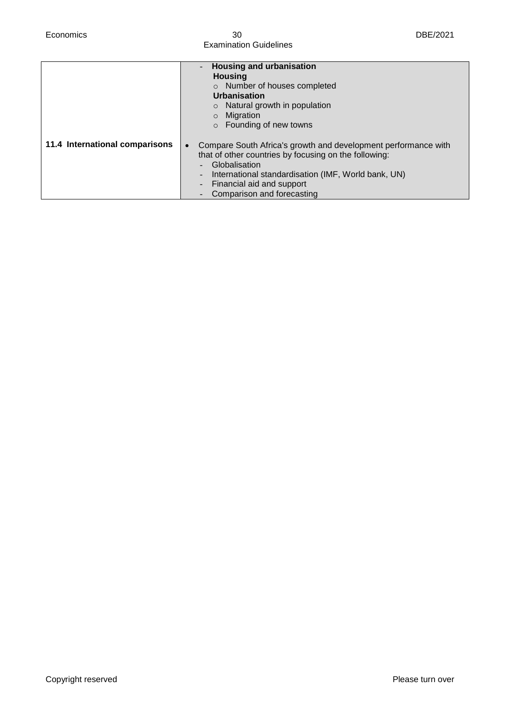Economics 30 DBE/2021 Examination Guidelines

|                                | <b>Housing and urbanisation</b><br><b>Housing</b><br>o Number of houses completed<br>Urbanisation<br>Natural growth in population<br>$\circ$<br>Migration<br>Founding of new towns<br>$\circ$                                                                                             |
|--------------------------------|-------------------------------------------------------------------------------------------------------------------------------------------------------------------------------------------------------------------------------------------------------------------------------------------|
| 11.4 International comparisons | Compare South Africa's growth and development performance with<br>$\bullet$<br>that of other countries by focusing on the following:<br>Globalisation<br>International standardisation (IMF, World bank, UN)<br>$\blacksquare$<br>Financial aid and support<br>Comparison and forecasting |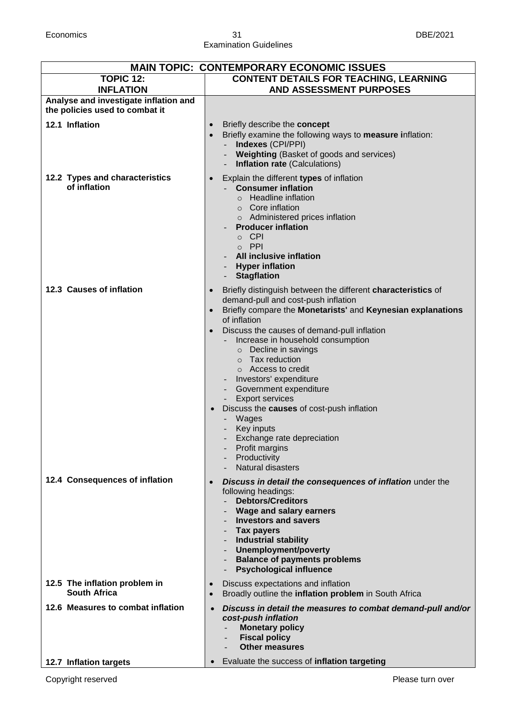#### Economics 31 DBE/2021 Examination Guidelines

| <b>MAIN TOPIC: CONTEMPORARY ECONOMIC ISSUES</b>                         |                                                                                                                                                                                                                                                                                                                                                                                                                                                                                                                                                                                                                      |  |
|-------------------------------------------------------------------------|----------------------------------------------------------------------------------------------------------------------------------------------------------------------------------------------------------------------------------------------------------------------------------------------------------------------------------------------------------------------------------------------------------------------------------------------------------------------------------------------------------------------------------------------------------------------------------------------------------------------|--|
| <b>TOPIC 12:</b><br><b>INFLATION</b>                                    | <b>CONTENT DETAILS FOR TEACHING, LEARNING</b><br>AND ASSESSMENT PURPOSES                                                                                                                                                                                                                                                                                                                                                                                                                                                                                                                                             |  |
| Analyse and investigate inflation and<br>the policies used to combat it |                                                                                                                                                                                                                                                                                                                                                                                                                                                                                                                                                                                                                      |  |
| 12.1 Inflation                                                          | Briefly describe the concept<br>$\bullet$<br>Briefly examine the following ways to measure inflation:<br>$\bullet$<br>Indexes (CPI/PPI)<br>Weighting (Basket of goods and services)<br><b>Inflation rate (Calculations)</b>                                                                                                                                                                                                                                                                                                                                                                                          |  |
| 12.2 Types and characteristics<br>of inflation                          | Explain the different types of inflation<br>$\bullet$<br><b>Consumer inflation</b><br>$\circ$ Headline inflation<br>$\circ$ Core inflation<br>o Administered prices inflation<br><b>Producer inflation</b><br>o CPI<br>o PPI<br><b>All inclusive inflation</b><br><b>Hyper inflation</b><br><b>Stagflation</b>                                                                                                                                                                                                                                                                                                       |  |
| 12.3 Causes of inflation                                                | Briefly distinguish between the different characteristics of<br>$\bullet$<br>demand-pull and cost-push inflation<br>Briefly compare the Monetarists' and Keynesian explanations<br>of inflation<br>Discuss the causes of demand-pull inflation<br>Increase in household consumption<br>o Decline in savings<br>$\circ$ Tax reduction<br>$\circ$ Access to credit<br>Investors' expenditure<br>Government expenditure<br><b>Export services</b><br>Discuss the causes of cost-push inflation<br>$\bullet$<br>Wages<br>Key inputs<br>Exchange rate depreciation<br>Profit margins<br>Productivity<br>Natural disasters |  |
| 12.4 Consequences of inflation                                          | Discuss in detail the consequences of inflation under the<br>$\bullet$<br>following headings:<br><b>Debtors/Creditors</b><br>Wage and salary earners<br><b>Investors and savers</b><br><b>Tax payers</b><br><b>Industrial stability</b><br>Unemployment/poverty<br><b>Balance of payments problems</b><br><b>Psychological influence</b>                                                                                                                                                                                                                                                                             |  |
| 12.5 The inflation problem in<br><b>South Africa</b>                    | Discuss expectations and inflation<br>Broadly outline the inflation problem in South Africa<br>$\bullet$                                                                                                                                                                                                                                                                                                                                                                                                                                                                                                             |  |
| 12.6 Measures to combat inflation                                       | Discuss in detail the measures to combat demand-pull and/or<br>$\bullet$<br>cost-push inflation<br><b>Monetary policy</b><br><b>Fiscal policy</b><br><b>Other measures</b>                                                                                                                                                                                                                                                                                                                                                                                                                                           |  |
| 12.7 Inflation targets                                                  | Evaluate the success of inflation targeting                                                                                                                                                                                                                                                                                                                                                                                                                                                                                                                                                                          |  |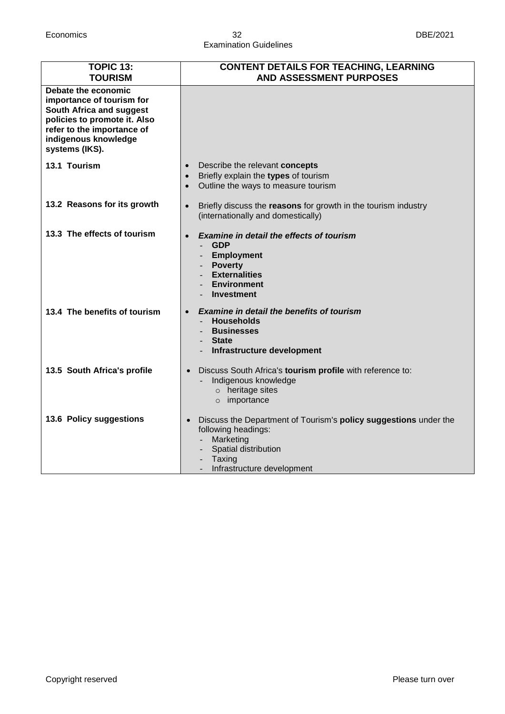#### Economics 32 DBE/2021 Examination Guidelines

| <b>TOPIC 13:</b><br><b>TOURISM</b>                                                                                                                                                   | <b>CONTENT DETAILS FOR TEACHING, LEARNING</b><br><b>AND ASSESSMENT PURPOSES</b>                                                                                                          |
|--------------------------------------------------------------------------------------------------------------------------------------------------------------------------------------|------------------------------------------------------------------------------------------------------------------------------------------------------------------------------------------|
| Debate the economic<br>importance of tourism for<br>South Africa and suggest<br>policies to promote it. Also<br>refer to the importance of<br>indigenous knowledge<br>systems (IKS). |                                                                                                                                                                                          |
| 13.1 Tourism                                                                                                                                                                         | Describe the relevant concepts<br>$\bullet$<br>Briefly explain the types of tourism<br>$\bullet$<br>Outline the ways to measure tourism                                                  |
| 13.2 Reasons for its growth                                                                                                                                                          | Briefly discuss the reasons for growth in the tourism industry<br>$\bullet$<br>(internationally and domestically)                                                                        |
| 13.3 The effects of tourism                                                                                                                                                          | <b>Examine in detail the effects of tourism</b><br><b>GDP</b><br><b>Employment</b><br><b>Poverty</b><br><b>Externalities</b><br><b>Environment</b><br><b>Investment</b>                  |
| 13.4 The benefits of tourism                                                                                                                                                         | <b>Examine in detail the benefits of tourism</b><br><b>Households</b><br><b>Businesses</b><br><b>State</b><br>Infrastructure development                                                 |
| 13.5 South Africa's profile                                                                                                                                                          | Discuss South Africa's tourism profile with reference to:<br>$\bullet$<br>Indigenous knowledge<br>$\circ$ heritage sites<br>o importance                                                 |
| 13.6 Policy suggestions                                                                                                                                                              | Discuss the Department of Tourism's <b>policy suggestions</b> under the<br>$\bullet$<br>following headings:<br>Marketing<br>Spatial distribution<br>Taxing<br>Infrastructure development |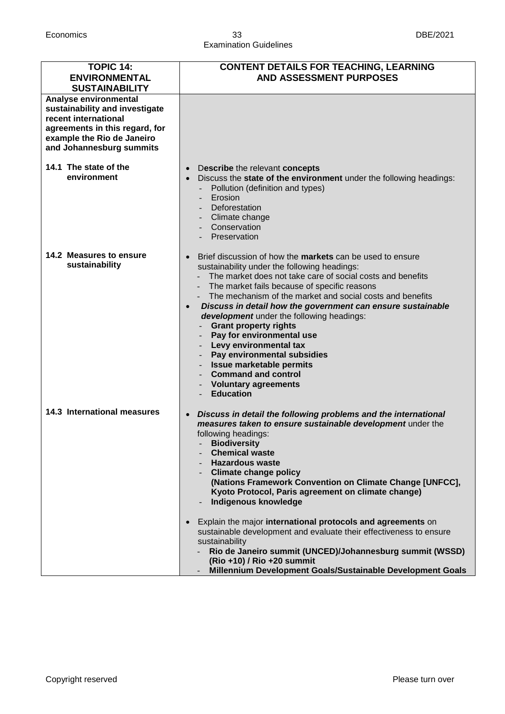#### Economics 33 DBE/2021 Examination Guidelines

| <b>TOPIC 14:</b><br><b>ENVIRONMENTAL</b><br><b>SUSTAINABILITY</b>                                                                                                           | <b>CONTENT DETAILS FOR TEACHING, LEARNING</b><br><b>AND ASSESSMENT PURPOSES</b>                                                                                                                                                                                                                                                                                                                                                                                                                                                                                                                                                                                       |
|-----------------------------------------------------------------------------------------------------------------------------------------------------------------------------|-----------------------------------------------------------------------------------------------------------------------------------------------------------------------------------------------------------------------------------------------------------------------------------------------------------------------------------------------------------------------------------------------------------------------------------------------------------------------------------------------------------------------------------------------------------------------------------------------------------------------------------------------------------------------|
| Analyse environmental<br>sustainability and investigate<br>recent international<br>agreements in this regard, for<br>example the Rio de Janeiro<br>and Johannesburg summits |                                                                                                                                                                                                                                                                                                                                                                                                                                                                                                                                                                                                                                                                       |
| 14.1 The state of the<br>environment                                                                                                                                        | Describe the relevant concepts<br>Discuss the state of the environment under the following headings:<br>$\bullet$<br>Pollution (definition and types)<br>Erosion<br>Deforestation<br>Climate change<br>Conservation<br>Preservation                                                                                                                                                                                                                                                                                                                                                                                                                                   |
| 14.2 Measures to ensure<br>sustainability                                                                                                                                   | Brief discussion of how the <b>markets</b> can be used to ensure<br>sustainability under the following headings:<br>The market does not take care of social costs and benefits<br>The market fails because of specific reasons<br>The mechanism of the market and social costs and benefits<br>Discuss in detail how the government can ensure sustainable<br>$\bullet$<br>development under the following headings:<br><b>Grant property rights</b><br>Pay for environmental use<br>Levy environmental tax<br>Pay environmental subsidies<br><b>Issue marketable permits</b><br><b>Command and control</b><br><b>Voluntary agreements</b><br><b>Education</b>        |
| 14.3 International measures                                                                                                                                                 | Discuss in detail the following problems and the international<br>$\bullet$<br>measures taken to ensure sustainable development under the<br>following headings:<br><b>Biodiversity</b><br><b>Chemical waste</b><br><b>Hazardous waste</b><br><b>Climate change policy</b><br>(Nations Framework Convention on Climate Change [UNFCC],<br>Kyoto Protocol, Paris agreement on climate change)<br>Indigenous knowledge<br>Explain the major international protocols and agreements on<br>sustainable development and evaluate their effectiveness to ensure<br>sustainability<br>Rio de Janeiro summit (UNCED)/Johannesburg summit (WSSD)<br>(Rio +10) / Rio +20 summit |
|                                                                                                                                                                             | Millennium Development Goals/Sustainable Development Goals                                                                                                                                                                                                                                                                                                                                                                                                                                                                                                                                                                                                            |